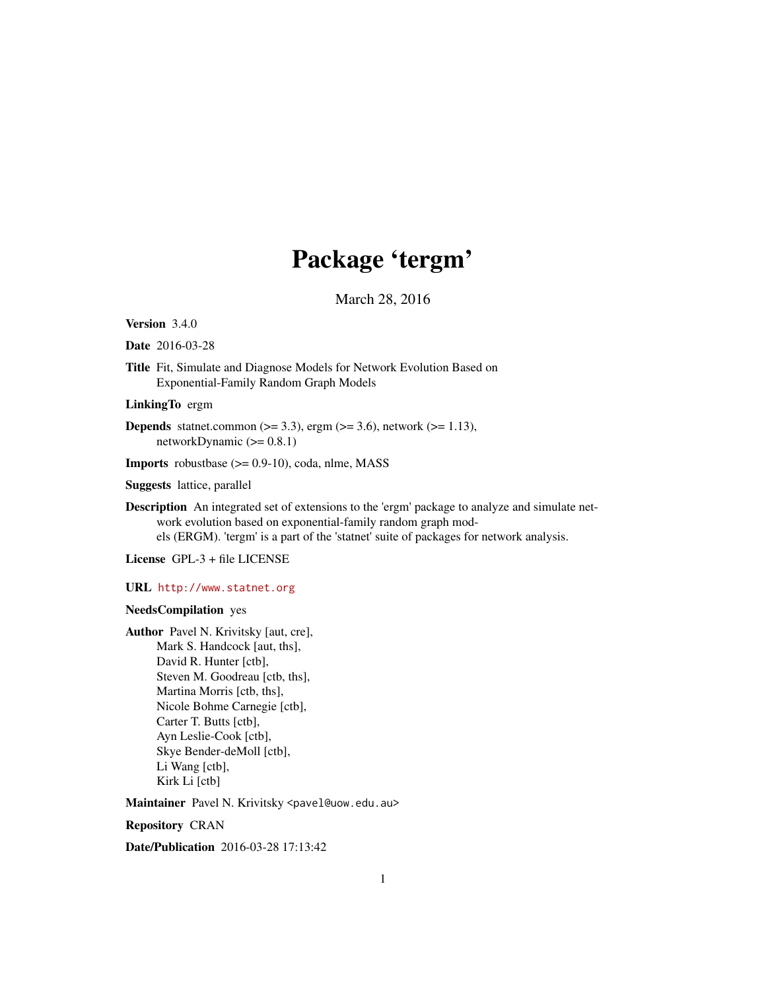# Package 'tergm'

March 28, 2016

<span id="page-0-0"></span>Version 3.4.0

Date 2016-03-28

Title Fit, Simulate and Diagnose Models for Network Evolution Based on Exponential-Family Random Graph Models

LinkingTo ergm

**Depends** statnet.common  $(>= 3.3)$ , ergm  $(>= 3.6)$ , network  $(>= 1.13)$ , networkDynamic  $(>= 0.8.1)$ 

**Imports** robustbase  $(>= 0.9-10)$ , coda, nlme, MASS

Suggests lattice, parallel

Description An integrated set of extensions to the 'ergm' package to analyze and simulate network evolution based on exponential-family random graph models (ERGM). 'tergm' is a part of the 'statnet' suite of packages for network analysis.

License GPL-3 + file LICENSE

URL <http://www.statnet.org>

# NeedsCompilation yes

Author Pavel N. Krivitsky [aut, cre], Mark S. Handcock [aut, ths], David R. Hunter [ctb], Steven M. Goodreau [ctb, ths], Martina Morris [ctb, ths], Nicole Bohme Carnegie [ctb], Carter T. Butts [ctb], Ayn Leslie-Cook [ctb], Skye Bender-deMoll [ctb], Li Wang [ctb], Kirk Li [ctb]

Maintainer Pavel N. Krivitsky <pavel@uow.edu.au>

Repository CRAN

Date/Publication 2016-03-28 17:13:42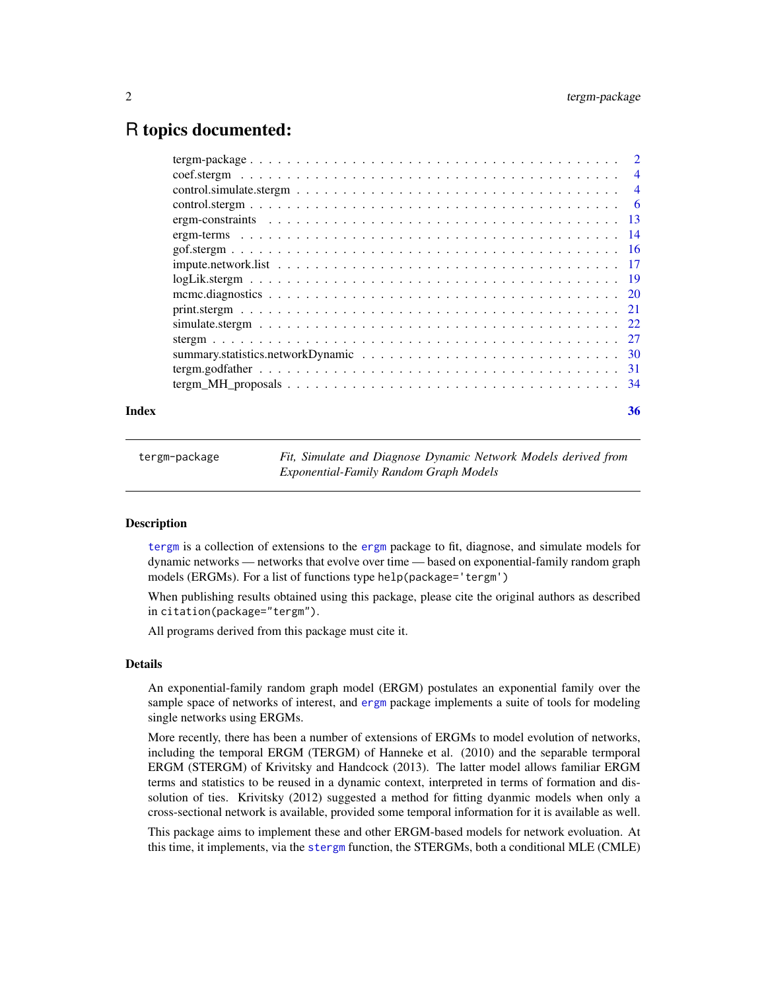# <span id="page-1-0"></span>R topics documented:

| Index | 36 |
|-------|----|
|       |    |
|       |    |
|       |    |
|       |    |
|       |    |
|       |    |
|       |    |
|       |    |
|       |    |
|       |    |
|       |    |
|       |    |
|       |    |
|       |    |
|       |    |
|       |    |

<span id="page-1-1"></span>tergm-package *Fit, Simulate and Diagnose Dynamic Network Models derived from Exponential-Family Random Graph Models*

# <span id="page-1-2"></span>Description

[tergm](#page-1-1) is a collection of extensions to the [ergm](#page-0-0) package to fit, diagnose, and simulate models for dynamic networks — networks that evolve over time — based on exponential-family random graph models (ERGMs). For a list of functions type help(package='tergm')

When publishing results obtained using this package, please cite the original authors as described in citation(package="tergm").

All programs derived from this package must cite it.

# Details

An exponential-family random graph model (ERGM) postulates an exponential family over the sample space of networks of interest, and [ergm](#page-0-0) package implements a suite of tools for modeling single networks using ERGMs.

More recently, there has been a number of extensions of ERGMs to model evolution of networks, including the temporal ERGM (TERGM) of Hanneke et al. (2010) and the separable termporal ERGM (STERGM) of Krivitsky and Handcock (2013). The latter model allows familiar ERGM terms and statistics to be reused in a dynamic context, interpreted in terms of formation and dissolution of ties. Krivitsky (2012) suggested a method for fitting dyanmic models when only a cross-sectional network is available, provided some temporal information for it is available as well.

This package aims to implement these and other ERGM-based models for network evoluation. At this time, it implements, via the [stergm](#page-26-1) function, the STERGMs, both a conditional MLE (CMLE)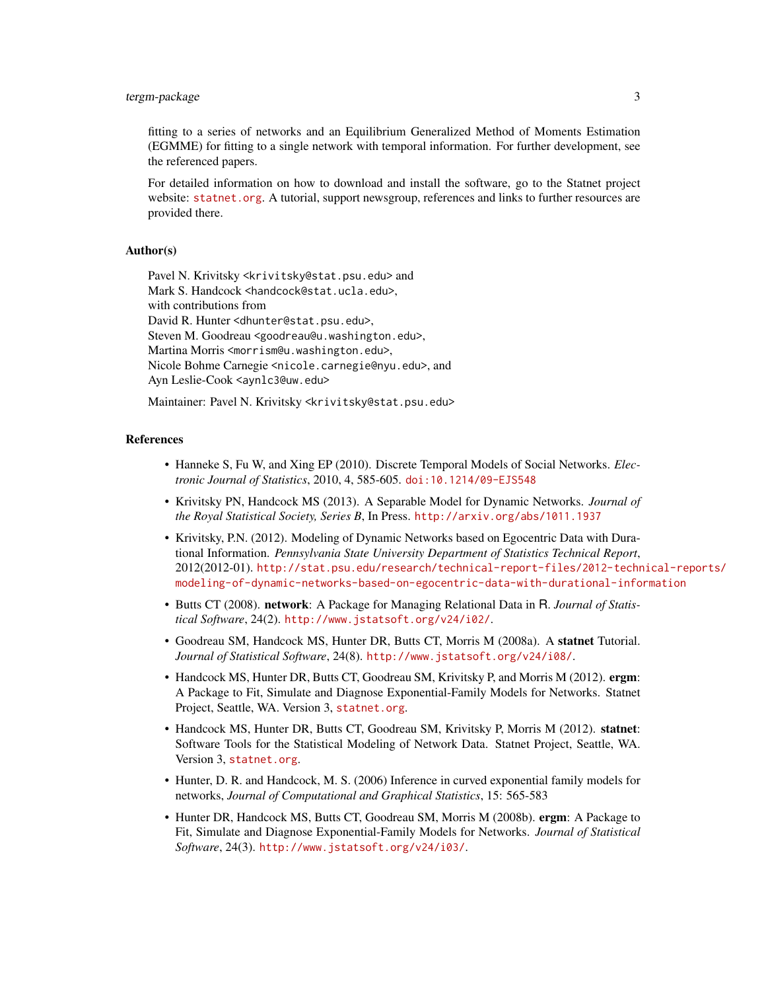# tergm-package 3

fitting to a series of networks and an Equilibrium Generalized Method of Moments Estimation (EGMME) for fitting to a single network with temporal information. For further development, see the referenced papers.

For detailed information on how to download and install the software, go to the Statnet project website: <statnet.org>. A tutorial, support newsgroup, references and links to further resources are provided there.

# Author(s)

Pavel N. Krivitsky <krivitsky@stat.psu.edu> and Mark S. Handcock <handcock@stat.ucla.edu>, with contributions from David R. Hunter <dhunter@stat.psu.edu>, Steven M. Goodreau <goodreau@u.washington.edu>, Martina Morris <morrism@u.washington.edu>, Nicole Bohme Carnegie <nicole.carnegie@nyu.edu>, and Ayn Leslie-Cook <aynlc3@uw.edu>

Maintainer: Pavel N. Krivitsky <krivitsky@stat.psu.edu>

# References

- Hanneke S, Fu W, and Xing EP (2010). Discrete Temporal Models of Social Networks. *Electronic Journal of Statistics*, 2010, 4, 585-605. [doi:10.1214/09-EJS548](http://dx.doi.org/10.1214/09-EJS548)
- Krivitsky PN, Handcock MS (2013). A Separable Model for Dynamic Networks. *Journal of the Royal Statistical Society, Series B*, In Press. <http://arxiv.org/abs/1011.1937>
- Krivitsky, P.N. (2012). Modeling of Dynamic Networks based on Egocentric Data with Durational Information. *Pennsylvania State University Department of Statistics Technical Report*, 2012(2012-01). [http://stat.psu.edu/research/technical-report-files/2012-techn](http://stat.psu.edu/research/technical-report-files/2012-technical-reports/modeling-of-dynamic-networks-based-on-egocentric-data-with-durational-information)ical-reports/ [modeling-of-dynamic-networks-based-on-egocentric-data-with-durational-information](http://stat.psu.edu/research/technical-report-files/2012-technical-reports/modeling-of-dynamic-networks-based-on-egocentric-data-with-durational-information)
- Butts CT (2008). network: A Package for Managing Relational Data in R. *Journal of Statistical Software*, 24(2). <http://www.jstatsoft.org/v24/i02/>.
- Goodreau SM, Handcock MS, Hunter DR, Butts CT, Morris M (2008a). A statnet Tutorial. *Journal of Statistical Software*, 24(8). <http://www.jstatsoft.org/v24/i08/>.
- Handcock MS, Hunter DR, Butts CT, Goodreau SM, Krivitsky P, and Morris M (2012). ergm: A Package to Fit, Simulate and Diagnose Exponential-Family Models for Networks. Statnet Project, Seattle, WA. Version 3, <statnet.org>.
- Handcock MS, Hunter DR, Butts CT, Goodreau SM, Krivitsky P, Morris M (2012). statnet: Software Tools for the Statistical Modeling of Network Data. Statnet Project, Seattle, WA. Version 3, <statnet.org>.
- Hunter, D. R. and Handcock, M. S. (2006) Inference in curved exponential family models for networks, *Journal of Computational and Graphical Statistics*, 15: 565-583
- Hunter DR, Handcock MS, Butts CT, Goodreau SM, Morris M (2008b). ergm: A Package to Fit, Simulate and Diagnose Exponential-Family Models for Networks. *Journal of Statistical Software*, 24(3). <http://www.jstatsoft.org/v24/i03/>.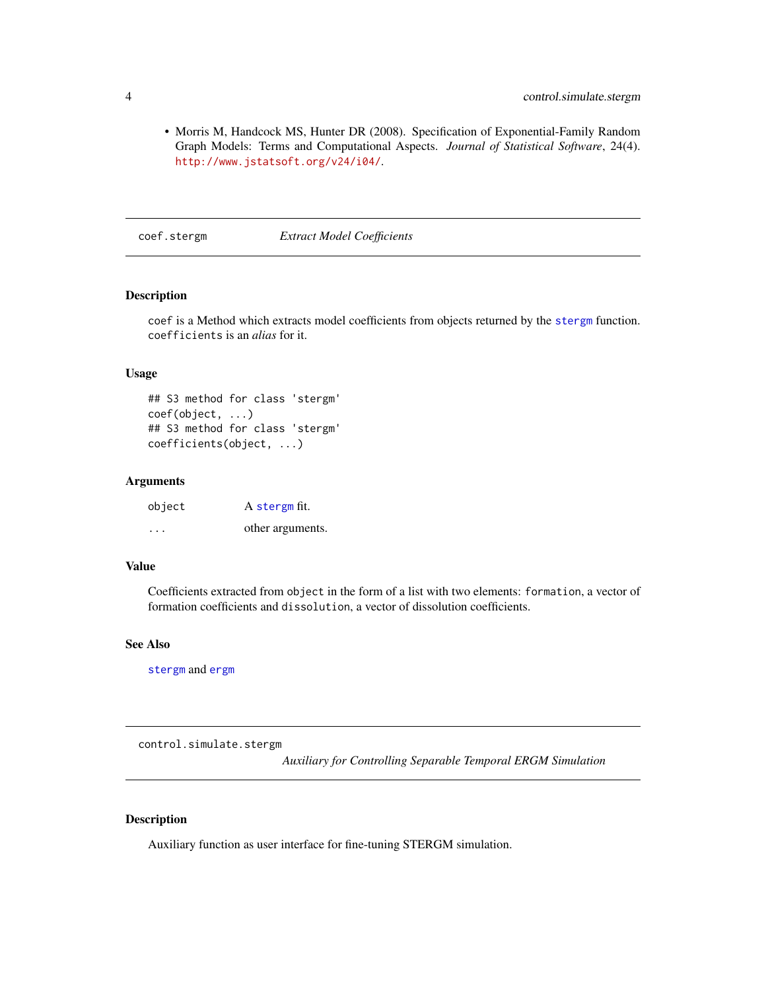# <span id="page-3-0"></span>4 control.simulate.stergm

• Morris M, Handcock MS, Hunter DR (2008). Specification of Exponential-Family Random Graph Models: Terms and Computational Aspects. *Journal of Statistical Software*, 24(4). <http://www.jstatsoft.org/v24/i04/>.

coef.stergm *Extract Model Coefficients*

# Description

coef is a Method which extracts model coefficients from objects returned by the [stergm](#page-26-1) function. coefficients is an *alias* for it.

# Usage

## S3 method for class 'stergm' coef(object, ...) ## S3 method for class 'stergm' coefficients(object, ...)

#### Arguments

| object   | A stergm fit.    |
|----------|------------------|
| $\cdots$ | other arguments. |

# Value

Coefficients extracted from object in the form of a list with two elements: formation, a vector of formation coefficients and dissolution, a vector of dissolution coefficients.

# See Also

[stergm](#page-26-1) and [ergm](#page-0-0)

<span id="page-3-1"></span>control.simulate.stergm

*Auxiliary for Controlling Separable Temporal ERGM Simulation*

# <span id="page-3-2"></span>Description

Auxiliary function as user interface for fine-tuning STERGM simulation.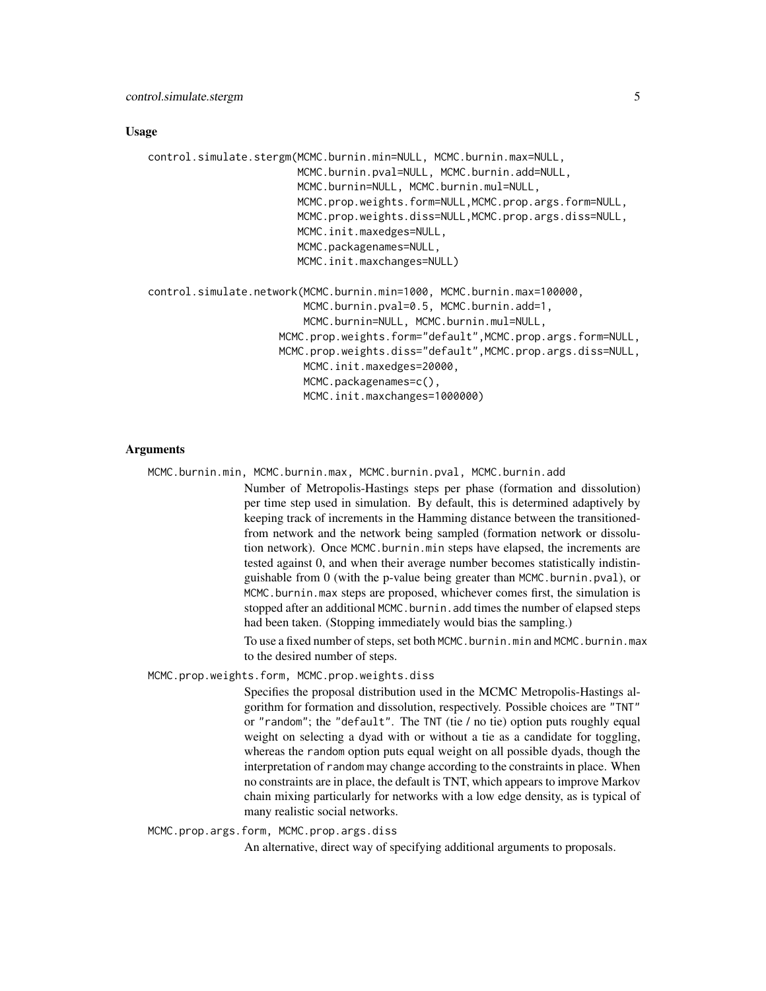# Usage

```
control.simulate.stergm(MCMC.burnin.min=NULL, MCMC.burnin.max=NULL,
                        MCMC.burnin.pval=NULL, MCMC.burnin.add=NULL,
                        MCMC.burnin=NULL, MCMC.burnin.mul=NULL,
                        MCMC.prop.weights.form=NULL,MCMC.prop.args.form=NULL,
                        MCMC.prop.weights.diss=NULL,MCMC.prop.args.diss=NULL,
                        MCMC.init.maxedges=NULL,
                        MCMC.packagenames=NULL,
                        MCMC.init.maxchanges=NULL)
control.simulate.network(MCMC.burnin.min=1000, MCMC.burnin.max=100000,
                         MCMC.burnin.pval=0.5, MCMC.burnin.add=1,
                         MCMC.burnin=NULL, MCMC.burnin.mul=NULL,
                     MCMC.prop.weights.form="default",MCMC.prop.args.form=NULL,
                     MCMC.prop.weights.diss="default",MCMC.prop.args.diss=NULL,
                         MCMC.init.maxedges=20000,
                         MCMC.packagenames=c(),
```
MCMC.init.maxchanges=1000000)

# Arguments

MCMC.burnin.min, MCMC.burnin.max, MCMC.burnin.pval, MCMC.burnin.add

Number of Metropolis-Hastings steps per phase (formation and dissolution) per time step used in simulation. By default, this is determined adaptively by keeping track of increments in the Hamming distance between the transitionedfrom network and the network being sampled (formation network or dissolution network). Once MCMC.burnin.min steps have elapsed, the increments are tested against 0, and when their average number becomes statistically indistinguishable from 0 (with the p-value being greater than MCMC.burnin.pval), or MCMC.burnin.max steps are proposed, whichever comes first, the simulation is stopped after an additional MCMC.burnin.add times the number of elapsed steps had been taken. (Stopping immediately would bias the sampling.)

To use a fixed number of steps, set both MCMC.burnin.min and MCMC.burnin.max to the desired number of steps.

MCMC.prop.weights.form, MCMC.prop.weights.diss

Specifies the proposal distribution used in the MCMC Metropolis-Hastings algorithm for formation and dissolution, respectively. Possible choices are "TNT" or "random"; the "default". The TNT (tie / no tie) option puts roughly equal weight on selecting a dyad with or without a tie as a candidate for toggling, whereas the random option puts equal weight on all possible dyads, though the interpretation of random may change according to the constraints in place. When no constraints are in place, the default is TNT, which appears to improve Markov chain mixing particularly for networks with a low edge density, as is typical of many realistic social networks.

MCMC.prop.args.form, MCMC.prop.args.diss

An alternative, direct way of specifying additional arguments to proposals.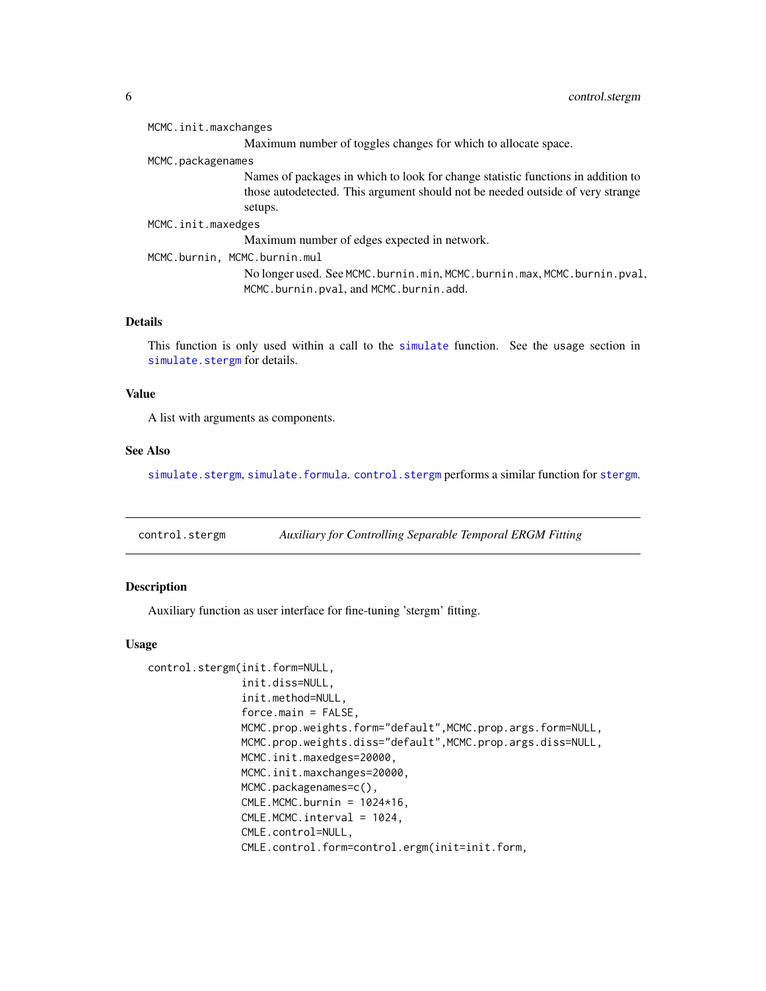<span id="page-5-0"></span>

| MCMC.init.maxchanges                                                                                                                                                          |
|-------------------------------------------------------------------------------------------------------------------------------------------------------------------------------|
| Maximum number of toggles changes for which to allocate space.                                                                                                                |
| MCMC.packagenames                                                                                                                                                             |
| Names of packages in which to look for change statistic functions in addition to<br>those autodetected. This argument should not be needed outside of very strange<br>setups. |
| MCMC.init.maxedges                                                                                                                                                            |
| Maximum number of edges expected in network.                                                                                                                                  |
| MCMC.burnin, MCMC.burnin.mul                                                                                                                                                  |
| No longer used. See MCMC.burnin.min, MCMC.burnin.max, MCMC.burnin.pval,<br>MCMC.burnin.pval, and MCMC.burnin.add.                                                             |
|                                                                                                                                                                               |

# Details

This function is only used within a call to the [simulate](#page-0-0) function. See the usage section in [simulate.stergm](#page-21-1) for details.

# Value

A list with arguments as components.

# See Also

[simulate.stergm](#page-21-1), [simulate.formula](#page-0-0).[control.stergm](#page-5-1) performs a similar function for [stergm](#page-26-1).

<span id="page-5-1"></span>control.stergm *Auxiliary for Controlling Separable Temporal ERGM Fitting*

# Description

Auxiliary function as user interface for fine-tuning 'stergm' fitting.

# Usage

```
control.stergm(init.form=NULL,
               init.diss=NULL,
               init.method=NULL,
               force.mainloop = FALSE,MCMC.prop.weights.form="default",MCMC.prop.args.form=NULL,
               MCMC.prop.weights.diss="default",MCMC.prop.args.diss=NULL,
               MCMC.init.maxedges=20000,
               MCMC.init.maxchanges=20000,
               MCMC.packagenames=c(),
               CMLE.MCMC.burnin = <math>1024*16</math>,CMLE.MCMC.interval = 1024,
               CMLE.control=NULL,
               CMLE.control.form=control.ergm(init=init.form,
```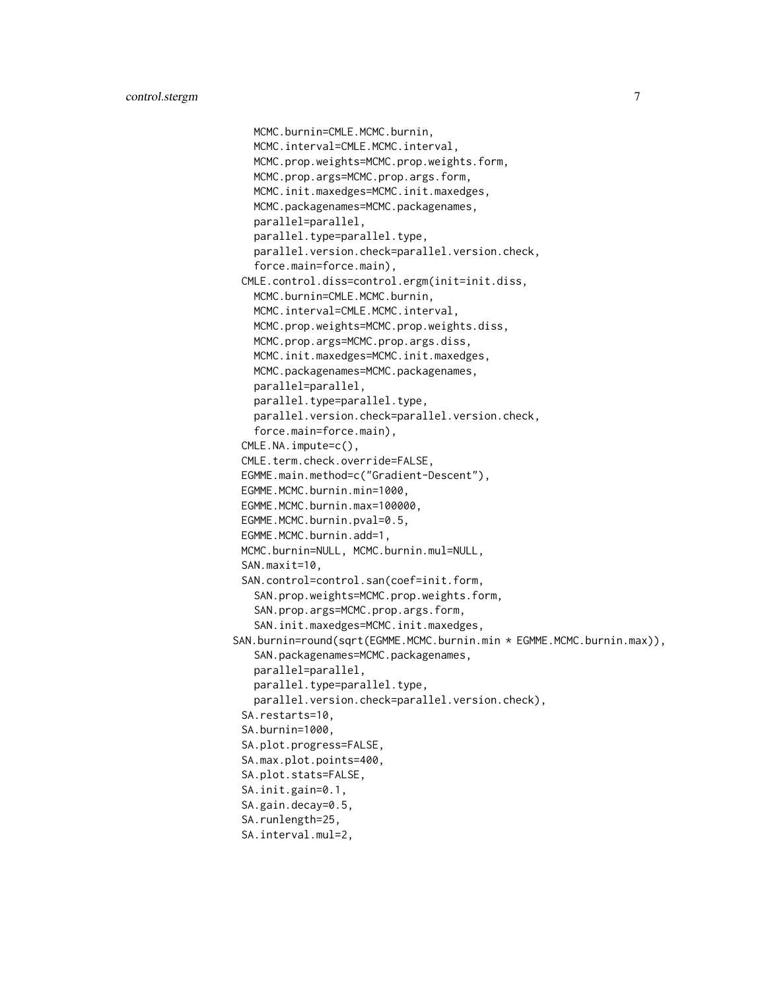```
MCMC.burnin=CMLE.MCMC.burnin,
   MCMC.interval=CMLE.MCMC.interval,
   MCMC.prop.weights=MCMC.prop.weights.form,
   MCMC.prop.args=MCMC.prop.args.form,
   MCMC.init.maxedges=MCMC.init.maxedges,
   MCMC.packagenames=MCMC.packagenames,
   parallel=parallel,
   parallel.type=parallel.type,
   parallel.version.check=parallel.version.check,
   force.main=force.main),
 CMLE.control.diss=control.ergm(init=init.diss,
   MCMC.burnin=CMLE.MCMC.burnin,
   MCMC.interval=CMLE.MCMC.interval,
   MCMC.prop.weights=MCMC.prop.weights.diss,
   MCMC.prop.args=MCMC.prop.args.diss,
   MCMC.init.maxedges=MCMC.init.maxedges,
   MCMC.packagenames=MCMC.packagenames,
   parallel=parallel,
   parallel.type=parallel.type,
   parallel.version.check=parallel.version.check,
   force.main=force.main),
 CMLE.NA.impute=c(),
 CMLE.term.check.override=FALSE,
 EGMME.main.method=c("Gradient-Descent"),
 EGMME.MCMC.burnin.min=1000,
 EGMME.MCMC.burnin.max=100000,
 EGMME.MCMC.burnin.pval=0.5,
 EGMME.MCMC.burnin.add=1,
 MCMC.burnin=NULL, MCMC.burnin.mul=NULL,
 SAN.maxit=10,
 SAN.control=control.san(coef=init.form,
   SAN.prop.weights=MCMC.prop.weights.form,
   SAN.prop.args=MCMC.prop.args.form,
   SAN.init.maxedges=MCMC.init.maxedges,
SAN.burnin=round(sqrt(EGMME.MCMC.burnin.min * EGMME.MCMC.burnin.max)),
   SAN.packagenames=MCMC.packagenames,
   parallel=parallel,
   parallel.type=parallel.type,
   parallel.version.check=parallel.version.check),
 SA.restarts=10,
 SA.burnin=1000,
 SA.plot.progress=FALSE,
 SA.max.plot.points=400,
 SA.plot.stats=FALSE,
 SA.init.gain=0.1,
 SA.gain.decay=0.5,
 SA.runlength=25,
 SA.interval.mul=2,
```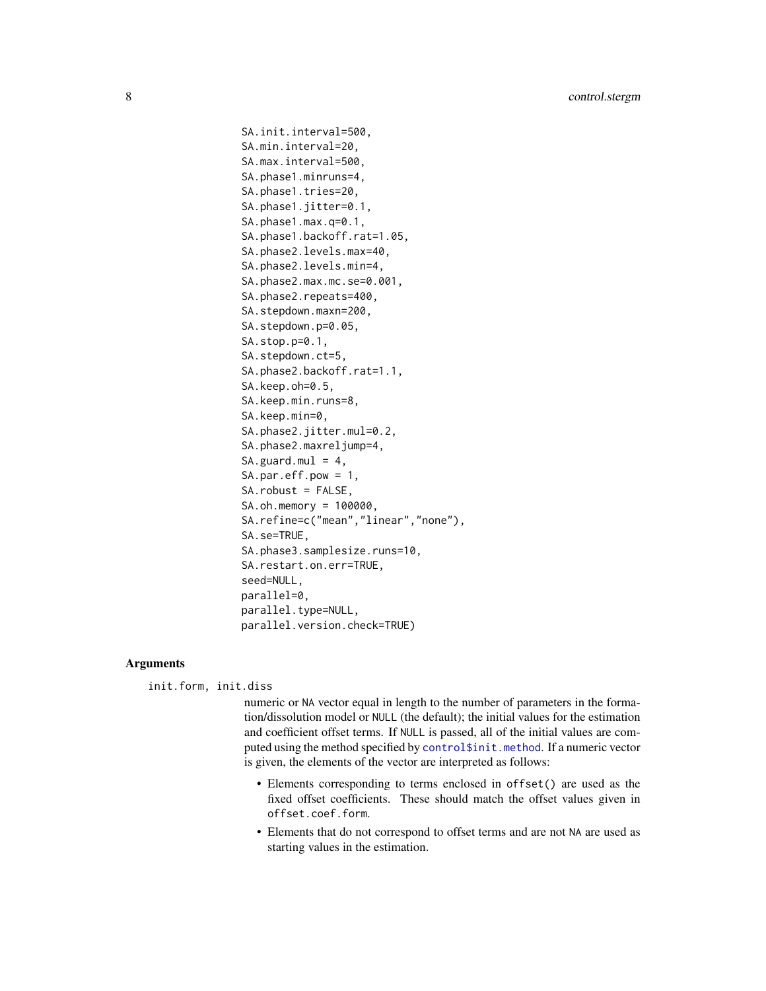```
SA.init.interval=500,
SA.min.interval=20,
SA.max.interval=500,
SA.phase1.minruns=4,
SA.phase1.tries=20,
SA.phase1.jitter=0.1,
SA.phase1.max.q=0.1,
SA.phase1.backoff.rat=1.05,
SA.phase2.levels.max=40,
SA.phase2.levels.min=4,
SA.phase2.max.mc.se=0.001,
SA.phase2.repeats=400,
SA.stepdown.maxn=200,
SA.stepdown.p=0.05,
SA.stop.p=0.1,
SA.stepdown.ct=5,
SA.phase2.backoff.rat=1.1,
SA.keep.oh=0.5,
SA.keep.min.runs=8,
SA.keep.min=0,
SA.phase2.jitter.mul=0.2,
SA.phase2.maxreljump=4,
SA.guard.mul = 4,SA.par.eff.pow = 1,
SA.robust = FALSE,
SA.oh.memory = 100000,
SA.refine=c("mean","linear","none"),
SA.se=TRUE,
SA.phase3.samplesize.runs=10,
SA.restart.on.err=TRUE,
seed=NULL,
parallel=0,
parallel.type=NULL,
parallel.version.check=TRUE)
```
# **Arguments**

init.form, init.diss

numeric or NA vector equal in length to the number of parameters in the formation/dissolution model or NULL (the default); the initial values for the estimation and coefficient offset terms. If NULL is passed, all of the initial values are computed using the method specified by [control\\$init.method](#page-0-0). If a numeric vector is given, the elements of the vector are interpreted as follows:

- Elements corresponding to terms enclosed in offset() are used as the fixed offset coefficients. These should match the offset values given in offset.coef.form.
- Elements that do not correspond to offset terms and are not NA are used as starting values in the estimation.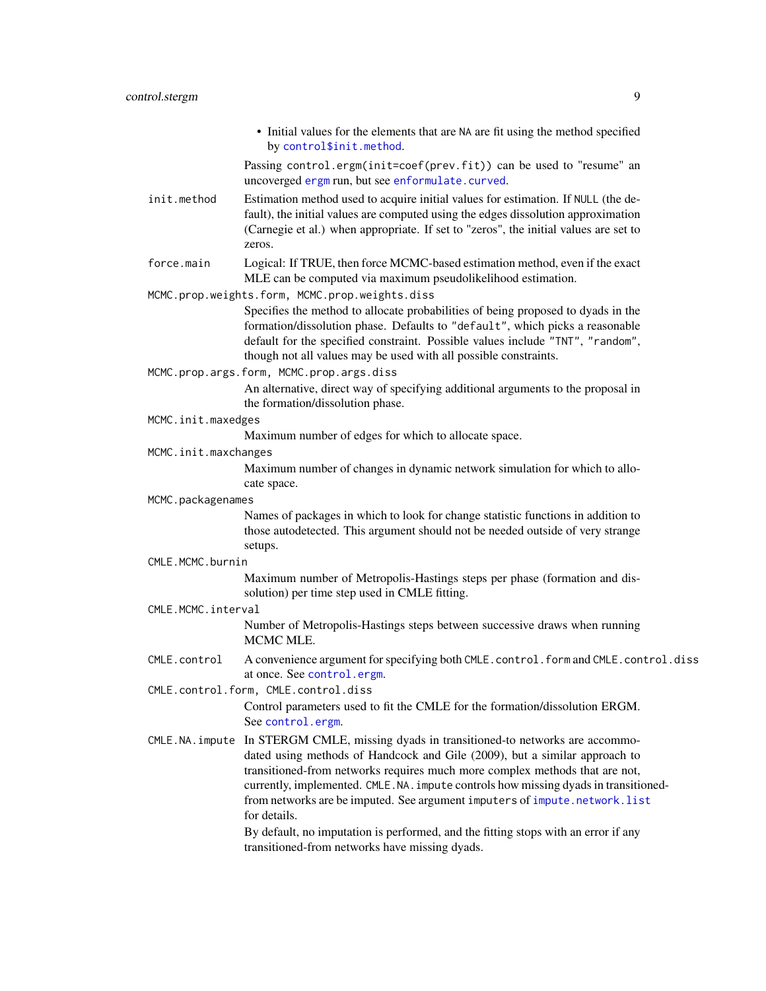<span id="page-8-0"></span>• Initial values for the elements that are NA are fit using the method specified by [control\\$init.method](#page-0-0). Passing control.ergm(init=coef(prev.fit)) can be used to "resume" an uncoverged [ergm](#page-0-0) run, but see [enformulate.curved](#page-0-0). init.method Estimation method used to acquire initial values for estimation. If NULL (the default), the initial values are computed using the edges dissolution approximation (Carnegie et al.) when appropriate. If set to "zeros", the initial values are set to zeros. force.main Logical: If TRUE, then force MCMC-based estimation method, even if the exact MLE can be computed via maximum pseudolikelihood estimation. MCMC.prop.weights.form, MCMC.prop.weights.diss Specifies the method to allocate probabilities of being proposed to dyads in the formation/dissolution phase. Defaults to "default", which picks a reasonable default for the specified constraint. Possible values include "TNT", "random", though not all values may be used with all possible constraints. MCMC.prop.args.form, MCMC.prop.args.diss An alternative, direct way of specifying additional arguments to the proposal in the formation/dissolution phase. MCMC.init.maxedges Maximum number of edges for which to allocate space. MCMC.init.maxchanges Maximum number of changes in dynamic network simulation for which to allocate space. MCMC.packagenames Names of packages in which to look for change statistic functions in addition to those autodetected. This argument should not be needed outside of very strange setups. CMLE.MCMC.burnin Maximum number of Metropolis-Hastings steps per phase (formation and dissolution) per time step used in CMLE fitting. CMLE.MCMC.interval Number of Metropolis-Hastings steps between successive draws when running MCMC MLE. CMLE.control A convenience argument for specifying both CMLE.control.form and CMLE.control.diss at once. See [control.ergm](#page-0-0). CMLE.control.form, CMLE.control.diss Control parameters used to fit the CMLE for the formation/dissolution ERGM. See [control.ergm](#page-0-0). CMLE.NA.impute In STERGM CMLE, missing dyads in transitioned-to networks are accommodated using methods of Handcock and Gile (2009), but a similar approach to transitioned-from networks requires much more complex methods that are not, currently, implemented. CMLE.NA.impute controls how missing dyads in transitionedfrom networks are be imputed. See argument imputers of [impute.network.list](#page-16-1) for details. By default, no imputation is performed, and the fitting stops with an error if any transitioned-from networks have missing dyads.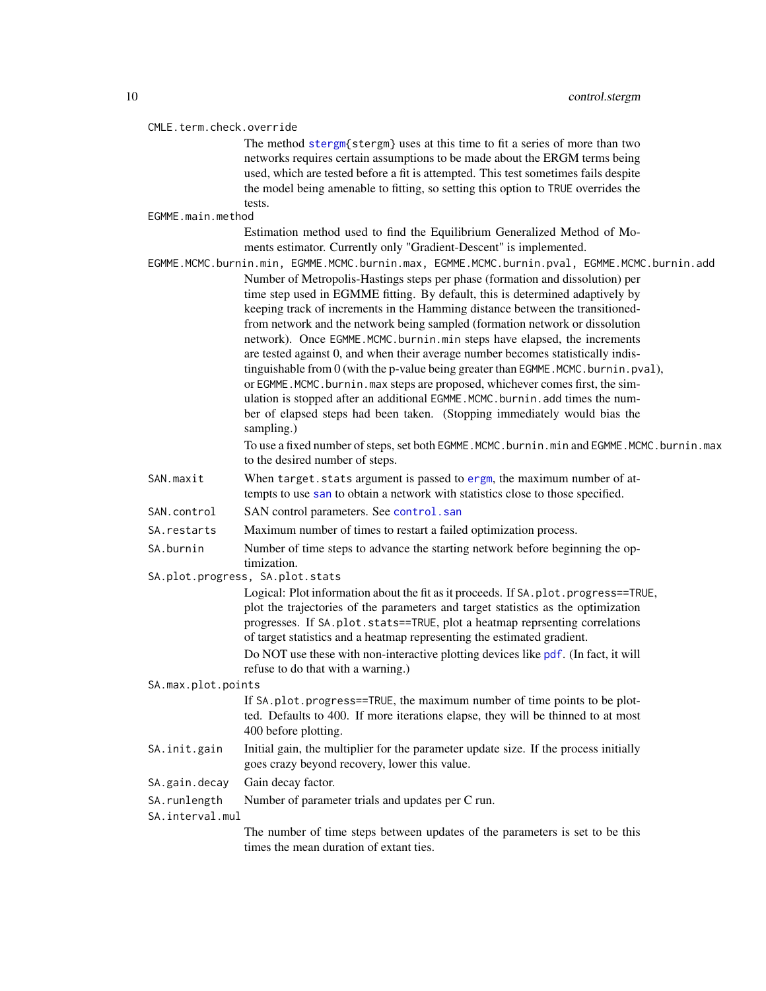#### <span id="page-9-0"></span>CMLE.term.check.override

The method [stergm{](#page-26-1)stergm} uses at this time to fit a series of more than two networks requires certain assumptions to be made about the ERGM terms being used, which are tested before a fit is attempted. This test sometimes fails despite the model being amenable to fitting, so setting this option to TRUE overrides the tests.

#### EGMME.main.method

Estimation method used to find the Equilibrium Generalized Method of Moments estimator. Currently only "Gradient-Descent" is implemented.

- EGMME.MCMC.burnin.min, EGMME.MCMC.burnin.max, EGMME.MCMC.burnin.pval, EGMME.MCMC.burnin.add Number of Metropolis-Hastings steps per phase (formation and dissolution) per time step used in EGMME fitting. By default, this is determined adaptively by keeping track of increments in the Hamming distance between the transitionedfrom network and the network being sampled (formation network or dissolution network). Once EGMME.MCMC.burnin.min steps have elapsed, the increments are tested against 0, and when their average number becomes statistically indistinguishable from  $0$  (with the p-value being greater than EGMME.MCMC.burnin.pval), or EGMME. MCMC. burnin.max steps are proposed, whichever comes first, the simulation is stopped after an additional EGMME.MCMC.burnin.add times the number of elapsed steps had been taken. (Stopping immediately would bias the sampling.)
	- To use a fixed number of steps, set both EGMME.MCMC.burnin.min and EGMME.MCMC.burnin.max to the desired number of steps.
- SAN.maxit When target.stats argument is passed to [ergm](#page-0-0), the maximum number of attempts to use [san](#page-0-0) to obtain a network with statistics close to those specified.
- SAN.control SAN control parameters. See [control.san](#page-0-0)
- SA.restarts Maximum number of times to restart a failed optimization process.
- SA.burnin Number of time steps to advance the starting network before beginning the optimization.
- SA.plot.progress, SA.plot.stats

Logical: Plot information about the fit as it proceeds. If SA.plot.progress==TRUE, plot the trajectories of the parameters and target statistics as the optimization progresses. If SA.plot.stats==TRUE, plot a heatmap reprsenting correlations of target statistics and a heatmap representing the estimated gradient. Do NOT use these with non-interactive plotting devices like [pdf](#page-0-0). (In fact, it will refuse to do that with a warning.)

#### SA.max.plot.points

If SA.plot.progress==TRUE, the maximum number of time points to be plotted. Defaults to 400. If more iterations elapse, they will be thinned to at most 400 before plotting.

- SA. init.gain Initial gain, the multiplier for the parameter update size. If the process initially goes crazy beyond recovery, lower this value.
- SA.gain.decay Gain decay factor.

```
SA.runlength Number of parameter trials and updates per C run.
```
#### SA.interval.mul

The number of time steps between updates of the parameters is set to be this times the mean duration of extant ties.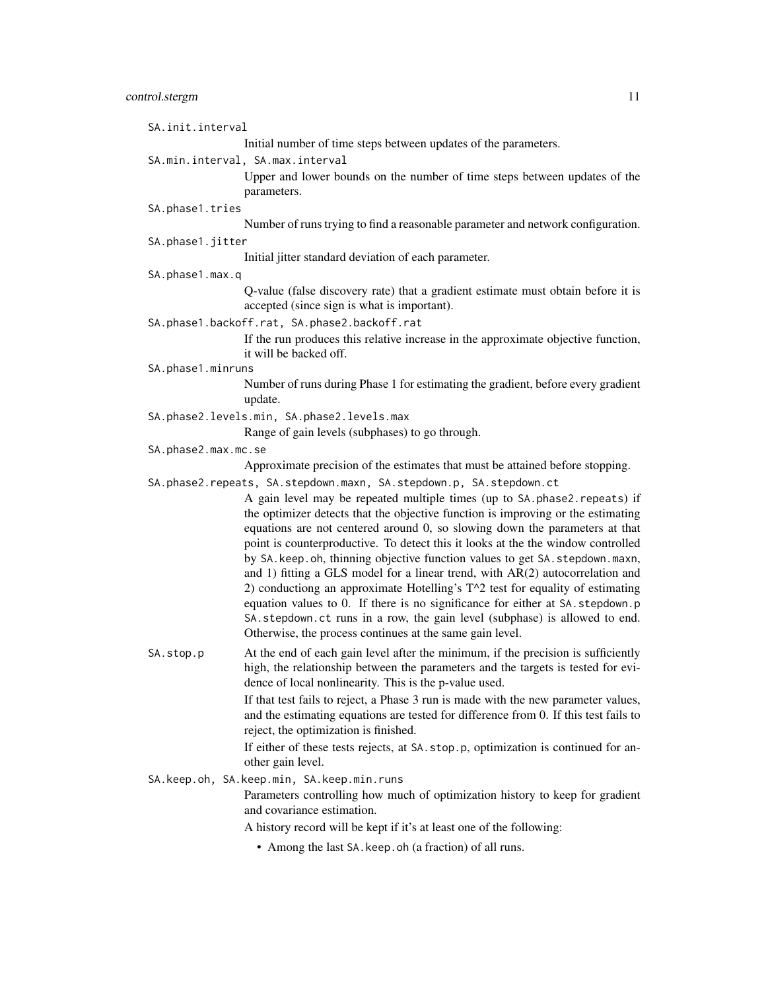| SA.init.interval    |                                                                                                                                                                                                                                                                                                                                                                                                                                                                                                                                                                                                                                                                                                                                                                                                                                                                                         |
|---------------------|-----------------------------------------------------------------------------------------------------------------------------------------------------------------------------------------------------------------------------------------------------------------------------------------------------------------------------------------------------------------------------------------------------------------------------------------------------------------------------------------------------------------------------------------------------------------------------------------------------------------------------------------------------------------------------------------------------------------------------------------------------------------------------------------------------------------------------------------------------------------------------------------|
|                     | Initial number of time steps between updates of the parameters.                                                                                                                                                                                                                                                                                                                                                                                                                                                                                                                                                                                                                                                                                                                                                                                                                         |
|                     | SA.min.interval, SA.max.interval                                                                                                                                                                                                                                                                                                                                                                                                                                                                                                                                                                                                                                                                                                                                                                                                                                                        |
|                     | Upper and lower bounds on the number of time steps between updates of the<br>parameters.                                                                                                                                                                                                                                                                                                                                                                                                                                                                                                                                                                                                                                                                                                                                                                                                |
| SA.phase1.tries     |                                                                                                                                                                                                                                                                                                                                                                                                                                                                                                                                                                                                                                                                                                                                                                                                                                                                                         |
|                     | Number of runs trying to find a reasonable parameter and network configuration.                                                                                                                                                                                                                                                                                                                                                                                                                                                                                                                                                                                                                                                                                                                                                                                                         |
| SA.phase1.jitter    |                                                                                                                                                                                                                                                                                                                                                                                                                                                                                                                                                                                                                                                                                                                                                                                                                                                                                         |
|                     | Initial jitter standard deviation of each parameter.                                                                                                                                                                                                                                                                                                                                                                                                                                                                                                                                                                                                                                                                                                                                                                                                                                    |
| SA.phase1.max.q     |                                                                                                                                                                                                                                                                                                                                                                                                                                                                                                                                                                                                                                                                                                                                                                                                                                                                                         |
|                     | Q-value (false discovery rate) that a gradient estimate must obtain before it is<br>accepted (since sign is what is important).                                                                                                                                                                                                                                                                                                                                                                                                                                                                                                                                                                                                                                                                                                                                                         |
|                     | SA.phase1.backoff.rat, SA.phase2.backoff.rat                                                                                                                                                                                                                                                                                                                                                                                                                                                                                                                                                                                                                                                                                                                                                                                                                                            |
|                     | If the run produces this relative increase in the approximate objective function,<br>it will be backed off.                                                                                                                                                                                                                                                                                                                                                                                                                                                                                                                                                                                                                                                                                                                                                                             |
| SA.phase1.minruns   |                                                                                                                                                                                                                                                                                                                                                                                                                                                                                                                                                                                                                                                                                                                                                                                                                                                                                         |
|                     | Number of runs during Phase 1 for estimating the gradient, before every gradient<br>update.                                                                                                                                                                                                                                                                                                                                                                                                                                                                                                                                                                                                                                                                                                                                                                                             |
|                     | SA.phase2.levels.min, SA.phase2.levels.max                                                                                                                                                                                                                                                                                                                                                                                                                                                                                                                                                                                                                                                                                                                                                                                                                                              |
|                     | Range of gain levels (subphases) to go through.                                                                                                                                                                                                                                                                                                                                                                                                                                                                                                                                                                                                                                                                                                                                                                                                                                         |
| SA.phase2.max.mc.se |                                                                                                                                                                                                                                                                                                                                                                                                                                                                                                                                                                                                                                                                                                                                                                                                                                                                                         |
|                     | Approximate precision of the estimates that must be attained before stopping.                                                                                                                                                                                                                                                                                                                                                                                                                                                                                                                                                                                                                                                                                                                                                                                                           |
|                     | SA.phase2.repeats, SA.stepdown.maxn, SA.stepdown.p, SA.stepdown.ct<br>A gain level may be repeated multiple times (up to SA.phase2.repeats) if<br>the optimizer detects that the objective function is improving or the estimating<br>equations are not centered around 0, so slowing down the parameters at that<br>point is counterproductive. To detect this it looks at the the window controlled<br>by SA. keep. oh, thinning objective function values to get SA. stepdown. maxn,<br>and 1) fitting a GLS model for a linear trend, with AR(2) autocorrelation and<br>2) conductiong an approximate Hotelling's T^2 test for equality of estimating<br>equation values to 0. If there is no significance for either at SA. stepdown.p<br>SA. stepdown. ct runs in a row, the gain level (subphase) is allowed to end.<br>Otherwise, the process continues at the same gain level. |
| SA.stop.p           | At the end of each gain level after the minimum, if the precision is sufficiently<br>high, the relationship between the parameters and the targets is tested for evi-<br>dence of local nonlinearity. This is the p-value used.                                                                                                                                                                                                                                                                                                                                                                                                                                                                                                                                                                                                                                                         |
|                     | If that test fails to reject, a Phase 3 run is made with the new parameter values,<br>and the estimating equations are tested for difference from 0. If this test fails to<br>reject, the optimization is finished.                                                                                                                                                                                                                                                                                                                                                                                                                                                                                                                                                                                                                                                                     |
|                     | If either of these tests rejects, at SA.stop.p, optimization is continued for an-<br>other gain level.                                                                                                                                                                                                                                                                                                                                                                                                                                                                                                                                                                                                                                                                                                                                                                                  |
|                     | SA.keep.oh, SA.keep.min, SA.keep.min.runs                                                                                                                                                                                                                                                                                                                                                                                                                                                                                                                                                                                                                                                                                                                                                                                                                                               |
|                     | Parameters controlling how much of optimization history to keep for gradient<br>and covariance estimation.                                                                                                                                                                                                                                                                                                                                                                                                                                                                                                                                                                                                                                                                                                                                                                              |
|                     | A history record will be kept if it's at least one of the following:                                                                                                                                                                                                                                                                                                                                                                                                                                                                                                                                                                                                                                                                                                                                                                                                                    |

• Among the last SA.keep.oh (a fraction) of all runs.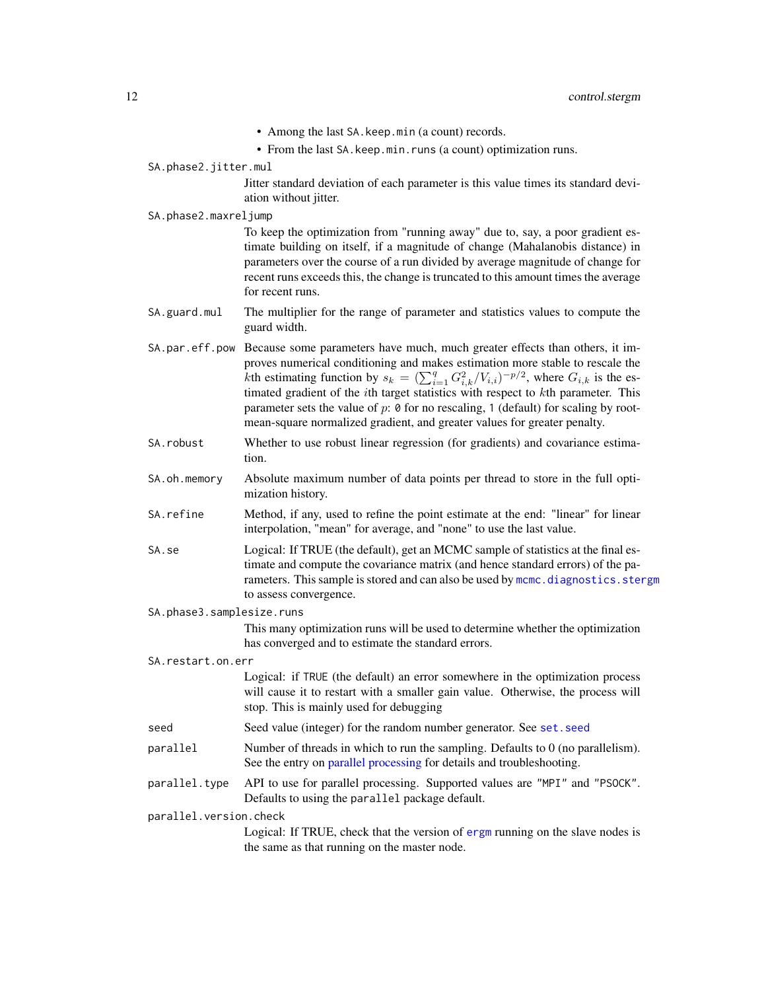- Among the last SA.keep.min (a count) records.
- From the last SA. keep. min. runs (a count) optimization runs.

#### <span id="page-11-0"></span>SA.phase2.jitter.mul

Jitter standard deviation of each parameter is this value times its standard deviation without jitter.

#### SA.phase2.maxreljump

To keep the optimization from "running away" due to, say, a poor gradient estimate building on itself, if a magnitude of change (Mahalanobis distance) in parameters over the course of a run divided by average magnitude of change for recent runs exceeds this, the change is truncated to this amount times the average for recent runs.

- SA.guard.mul The multiplier for the range of parameter and statistics values to compute the guard width.
- SA.par.eff.pow Because some parameters have much, much greater effects than others, it improves numerical conditioning and makes estimation more stable to rescale the kth estimating function by  $s_k = (\sum_{i=1}^q G_{i,k}^2/V_{i,i})^{-p/2}$ , where  $G_{i,k}$  is the estimated gradient of the *i*th target statistics with respect to *kth* parameter. This parameter sets the value of  $p: \mathfrak{d}$  for no rescaling, 1 (default) for scaling by rootmean-square normalized gradient, and greater values for greater penalty.
- SA.robust Whether to use robust linear regression (for gradients) and covariance estimation.
- SA.oh.memory Absolute maximum number of data points per thread to store in the full optimization history.
- SA.refine Method, if any, used to refine the point estimate at the end: "linear" for linear interpolation, "mean" for average, and "none" to use the last value.
- SA. se Logical: If TRUE (the default), get an MCMC sample of statistics at the final estimate and compute the covariance matrix (and hence standard errors) of the parameters. This sample is stored and can also be used by [mcmc.diagnostics.stergm](#page-19-1) to assess convergence.
- SA.phase3.samplesize.runs

This many optimization runs will be used to determine whether the optimization has converged and to estimate the standard errors.

SA.restart.on.err

Logical: if TRUE (the default) an error somewhere in the optimization process will cause it to restart with a smaller gain value. Otherwise, the process will stop. This is mainly used for debugging

- seed Seed value (integer) for the random number generator. See set. seed
- parallel Number of threads in which to run the sampling. Defaults to 0 (no parallelism). See the entry on [parallel processing](#page-0-0) for details and troubleshooting.
- parallel.type API to use for parallel processing. Supported values are "MPI" and "PSOCK". Defaults to using the parallel package default.

parallel.version.check

Logical: If TRUE, check that the version of [ergm](#page-0-0) running on the slave nodes is the same as that running on the master node.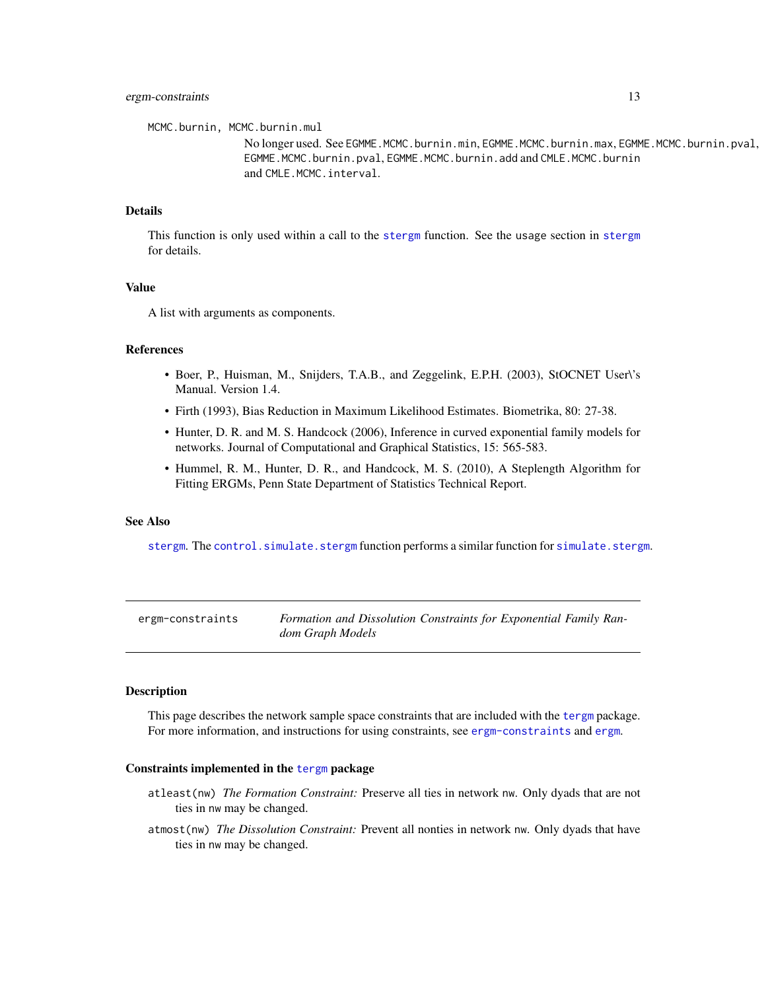<span id="page-12-0"></span>MCMC.burnin, MCMC.burnin.mul

No longer used. See EGMME.MCMC.burnin.min, EGMME.MCMC.burnin.max, EGMME.MCMC.burnin.pval, EGMME.MCMC.burnin.pval, EGMME.MCMC.burnin.add and CMLE.MCMC.burnin and CMLE.MCMC.interval.

# Details

This function is only used within a call to the [stergm](#page-26-1) function. See the usage section in [stergm](#page-26-1) for details.

# Value

A list with arguments as components.

# References

- Boer, P., Huisman, M., Snijders, T.A.B., and Zeggelink, E.P.H. (2003), StOCNET User\'s Manual. Version 1.4.
- Firth (1993), Bias Reduction in Maximum Likelihood Estimates. Biometrika, 80: 27-38.
- Hunter, D. R. and M. S. Handcock (2006), Inference in curved exponential family models for networks. Journal of Computational and Graphical Statistics, 15: 565-583.
- Hummel, R. M., Hunter, D. R., and Handcock, M. S. (2010), A Steplength Algorithm for Fitting ERGMs, Penn State Department of Statistics Technical Report.

#### See Also

[stergm](#page-26-1). The [control.simulate.stergm](#page-3-1) function performs a similar function for [simulate.stergm](#page-21-1).

<span id="page-12-1"></span>

| ergm-constraints | Formation and Dissolution Constraints for Exponential Family Ran- |  |  |
|------------------|-------------------------------------------------------------------|--|--|
|                  | dom Graph Models                                                  |  |  |

# Description

This page describes the network sample space constraints that are included with the [tergm](#page-1-1) package. For more information, and instructions for using constraints, see [ergm-constraints](#page-12-1) and [ergm](#page-0-0).

#### Constraints implemented in the [tergm](#page-1-1) package

- atleast(nw) *The Formation Constraint:* Preserve all ties in network nw. Only dyads that are not ties in nw may be changed.
- atmost(nw) *The Dissolution Constraint:* Prevent all nonties in network nw. Only dyads that have ties in nw may be changed.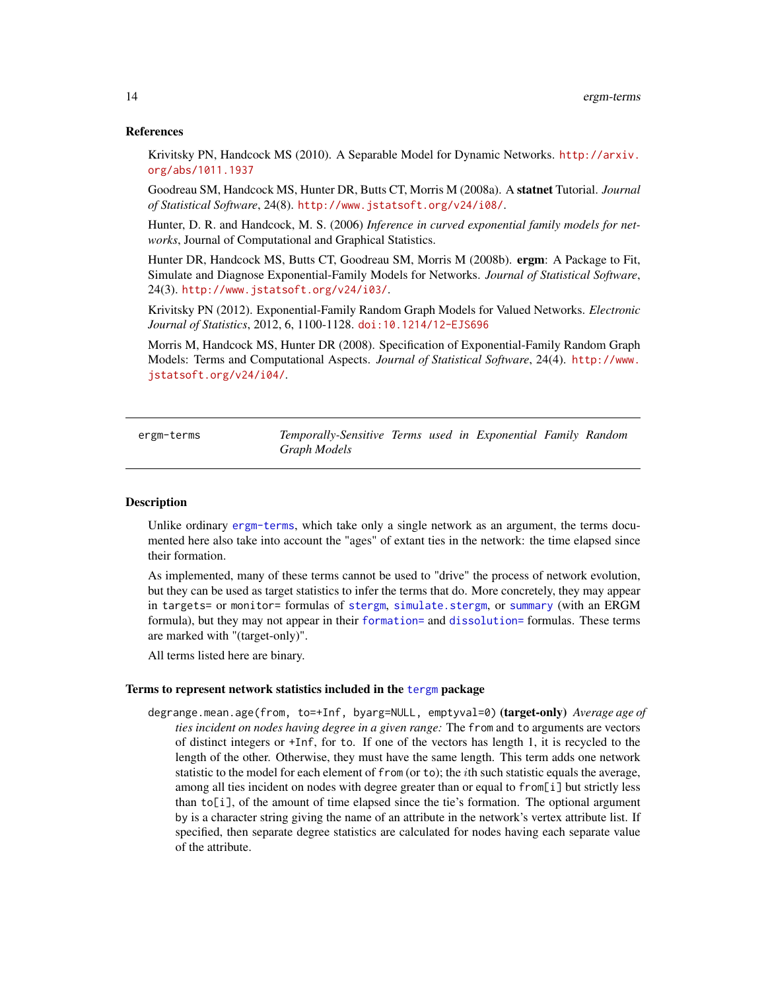# References

Krivitsky PN, Handcock MS (2010). A Separable Model for Dynamic Networks. [http://arxiv.](http://arxiv.org/abs/1011.1937) [org/abs/1011.1937](http://arxiv.org/abs/1011.1937)

Goodreau SM, Handcock MS, Hunter DR, Butts CT, Morris M (2008a). A statnet Tutorial. *Journal of Statistical Software*, 24(8). <http://www.jstatsoft.org/v24/i08/>.

Hunter, D. R. and Handcock, M. S. (2006) *Inference in curved exponential family models for networks*, Journal of Computational and Graphical Statistics.

Hunter DR, Handcock MS, Butts CT, Goodreau SM, Morris M (2008b). ergm: A Package to Fit, Simulate and Diagnose Exponential-Family Models for Networks. *Journal of Statistical Software*, 24(3). <http://www.jstatsoft.org/v24/i03/>.

Krivitsky PN (2012). Exponential-Family Random Graph Models for Valued Networks. *Electronic Journal of Statistics*, 2012, 6, 1100-1128. [doi:10.1214/12-EJS696](http://dx.doi.org/10.1214/12-EJS696)

Morris M, Handcock MS, Hunter DR (2008). Specification of Exponential-Family Random Graph Models: Terms and Computational Aspects. *Journal of Statistical Software*, 24(4). [http://www.](http://www.jstatsoft.org/v24/i04/) [jstatsoft.org/v24/i04/](http://www.jstatsoft.org/v24/i04/).

<span id="page-13-1"></span>ergm-terms *Temporally-Sensitive Terms used in Exponential Family Random Graph Models*

# <span id="page-13-2"></span>Description

Unlike ordinary [ergm-terms](#page-13-1), which take only a single network as an argument, the terms documented here also take into account the "ages" of extant ties in the network: the time elapsed since their formation.

As implemented, many of these terms cannot be used to "drive" the process of network evolution, but they can be used as target statistics to infer the terms that do. More concretely, they may appear in targets= or monitor= formulas of [stergm](#page-26-1), [simulate.stergm](#page-21-1), or [summary](#page-29-1) (with an ERGM formula), but they may not appear in their [formation=](#page-26-1) and [dissolution=](#page-26-1) formulas. These terms are marked with "(target-only)".

All terms listed here are binary.

# Terms to represent network statistics included in the [tergm](#page-1-1) package

degrange.mean.age(from, to=+Inf, byarg=NULL, emptyval=0) (target-only) *Average age of ties incident on nodes having degree in a given range:* The from and to arguments are vectors of distinct integers or +Inf, for to. If one of the vectors has length 1, it is recycled to the length of the other. Otherwise, they must have the same length. This term adds one network statistic to the model for each element of from (or to); the *i*th such statistic equals the average, among all ties incident on nodes with degree greater than or equal to from[i] but strictly less than to[i], of the amount of time elapsed since the tie's formation. The optional argument by is a character string giving the name of an attribute in the network's vertex attribute list. If specified, then separate degree statistics are calculated for nodes having each separate value of the attribute.

<span id="page-13-0"></span>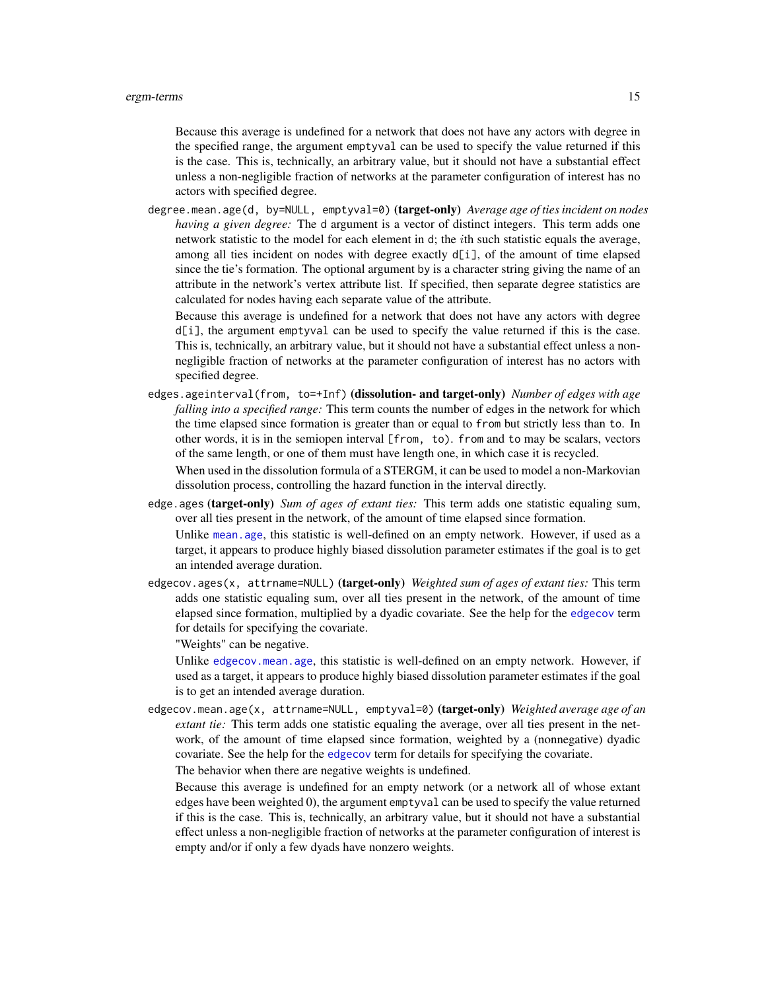<span id="page-14-0"></span>Because this average is undefined for a network that does not have any actors with degree in the specified range, the argument emptyval can be used to specify the value returned if this is the case. This is, technically, an arbitrary value, but it should not have a substantial effect unless a non-negligible fraction of networks at the parameter configuration of interest has no actors with specified degree.

degree.mean.age(d, by=NULL, emptyval=0) (target-only) *Average age of ties incident on nodes having a given degree:* The d argument is a vector of distinct integers. This term adds one network statistic to the model for each element in d; the ith such statistic equals the average, among all ties incident on nodes with degree exactly  $d[i]$ , of the amount of time elapsed since the tie's formation. The optional argument by is a character string giving the name of an attribute in the network's vertex attribute list. If specified, then separate degree statistics are calculated for nodes having each separate value of the attribute.

Because this average is undefined for a network that does not have any actors with degree d[i], the argument emptyval can be used to specify the value returned if this is the case. This is, technically, an arbitrary value, but it should not have a substantial effect unless a nonnegligible fraction of networks at the parameter configuration of interest has no actors with specified degree.

edges.ageinterval(from, to=+Inf) (dissolution- and target-only) *Number of edges with age falling into a specified range:* This term counts the number of edges in the network for which the time elapsed since formation is greater than or equal to from but strictly less than to. In other words, it is in the semiopen interval [from, to). from and to may be scalars, vectors of the same length, or one of them must have length one, in which case it is recycled.

When used in the dissolution formula of a STERGM, it can be used to model a non-Markovian dissolution process, controlling the hazard function in the interval directly.

edge.ages (target-only) *Sum of ages of extant ties:* This term adds one statistic equaling sum, over all ties present in the network, of the amount of time elapsed since formation.

Unlike [mean.age](#page-13-2), this statistic is well-defined on an empty network. However, if used as a target, it appears to produce highly biased dissolution parameter estimates if the goal is to get an intended average duration.

edgecov.ages(x, attrname=NULL) (target-only) *Weighted sum of ages of extant ties:* This term adds one statistic equaling sum, over all ties present in the network, of the amount of time elapsed since formation, multiplied by a dyadic covariate. See the help for the [edgecov](#page-0-0) term for details for specifying the covariate.

"Weights" can be negative.

Unlike [edgecov.mean.age](#page-13-2), this statistic is well-defined on an empty network. However, if used as a target, it appears to produce highly biased dissolution parameter estimates if the goal is to get an intended average duration.

edgecov.mean.age(x, attrname=NULL, emptyval=0) (target-only) *Weighted average age of an extant tie:* This term adds one statistic equaling the average, over all ties present in the network, of the amount of time elapsed since formation, weighted by a (nonnegative) dyadic covariate. See the help for the [edgecov](#page-0-0) term for details for specifying the covariate.

The behavior when there are negative weights is undefined.

Because this average is undefined for an empty network (or a network all of whose extant edges have been weighted 0), the argument emptyval can be used to specify the value returned if this is the case. This is, technically, an arbitrary value, but it should not have a substantial effect unless a non-negligible fraction of networks at the parameter configuration of interest is empty and/or if only a few dyads have nonzero weights.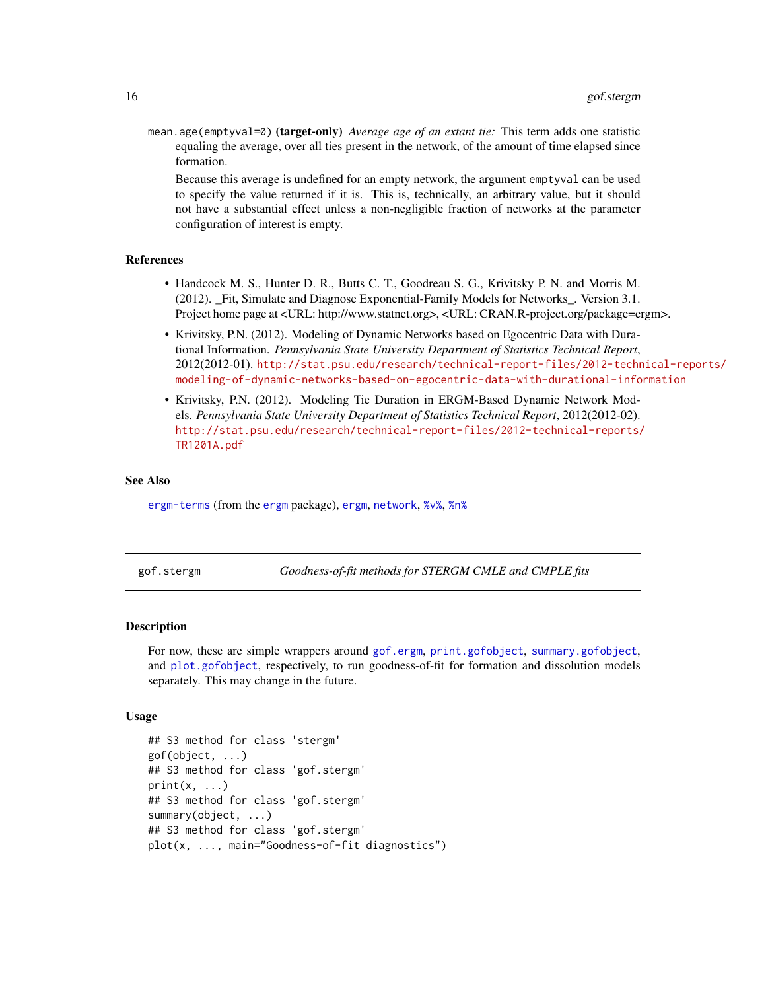<span id="page-15-0"></span>mean.age(emptyval=0) (target-only) *Average age of an extant tie:* This term adds one statistic equaling the average, over all ties present in the network, of the amount of time elapsed since formation.

Because this average is undefined for an empty network, the argument emptyval can be used to specify the value returned if it is. This is, technically, an arbitrary value, but it should not have a substantial effect unless a non-negligible fraction of networks at the parameter configuration of interest is empty.

#### References

- Handcock M. S., Hunter D. R., Butts C. T., Goodreau S. G., Krivitsky P. N. and Morris M. (2012). \_Fit, Simulate and Diagnose Exponential-Family Models for Networks\_. Version 3.1. Project home page at <URL: http://www.statnet.org>, <URL: CRAN.R-project.org/package=ergm>.
- Krivitsky, P.N. (2012). Modeling of Dynamic Networks based on Egocentric Data with Durational Information. *Pennsylvania State University Department of Statistics Technical Report*, 2012(2012-01). [http://stat.psu.edu/research/technical-report-files/2012-techn](http://stat.psu.edu/research/technical-report-files/2012-technical-reports/modeling-of-dynamic-networks-based-on-egocentric-data-with-durational-information)ical-reports/ [modeling-of-dynamic-networks-based-on-egocentric-data-with-durational-information](http://stat.psu.edu/research/technical-report-files/2012-technical-reports/modeling-of-dynamic-networks-based-on-egocentric-data-with-durational-information)
- Krivitsky, P.N. (2012). Modeling Tie Duration in ERGM-Based Dynamic Network Models. *Pennsylvania State University Department of Statistics Technical Report*, 2012(2012-02). [http://stat.psu.edu/research/technical-report-files/2012-technical-reports/](http://stat.psu.edu/research/technical-report-files/2012-technical-reports/TR1201A.pdf) [TR1201A.pdf](http://stat.psu.edu/research/technical-report-files/2012-technical-reports/TR1201A.pdf)

#### See Also

[ergm-terms](#page-13-1) (from the [ergm](#page-0-0) package), [ergm](#page-0-0), [network](#page-0-0), [%v%](#page-0-0), [%n%](#page-0-0)

gof.stergm *Goodness-of-fit methods for STERGM CMLE and CMPLE fits*

# Description

For now, these are simple wrappers around [gof.ergm](#page-0-0), [print.gofobject](#page-0-0), [summary.gofobject](#page-0-0), and [plot.gofobject](#page-0-0), respectively, to run goodness-of-fit for formation and dissolution models separately. This may change in the future.

#### Usage

```
## S3 method for class 'stergm'
gof(object, ...)
## S3 method for class 'gof.stergm'
print(x, \ldots)## S3 method for class 'gof.stergm'
summary(object, ...)
## S3 method for class 'gof.stergm'
plot(x, ..., main="Goodness-of-fit diagnostics")
```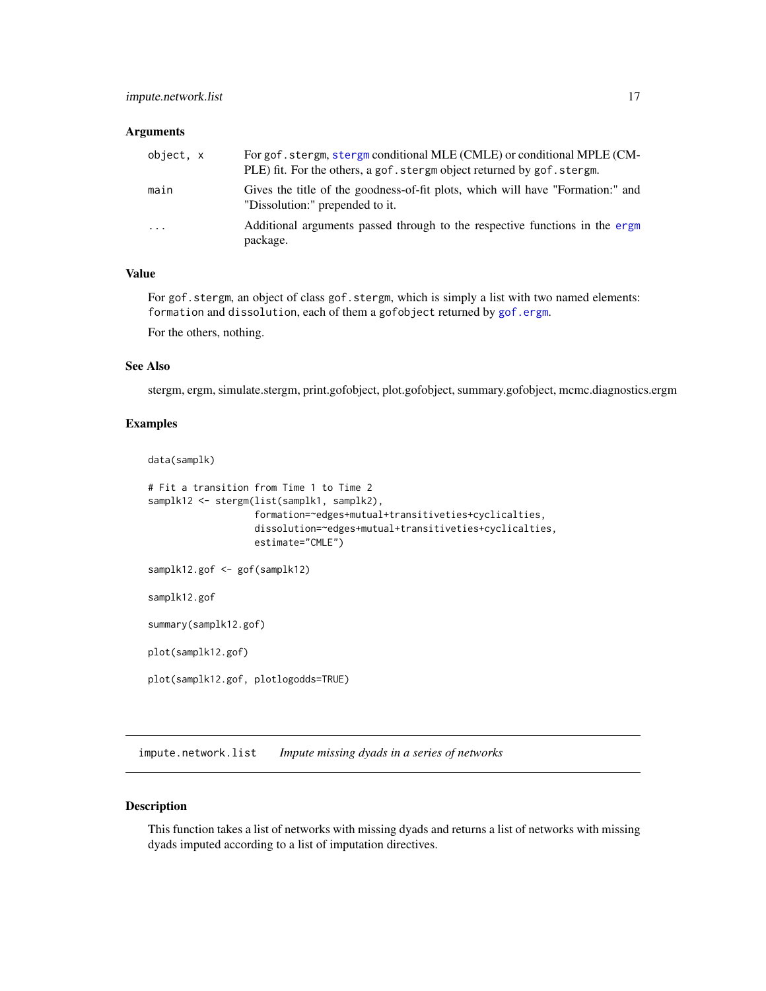#### <span id="page-16-0"></span>**Arguments**

| object, x | For gof, stergm, stergm conditional MLE (CMLE) or conditional MPLE (CM-<br>PLE) fit. For the others, a gof. stergm object returned by gof. stergm. |
|-----------|----------------------------------------------------------------------------------------------------------------------------------------------------|
| main      | Gives the title of the goodness-of-fit plots, which will have "Formation:" and<br>"Dissolution:" prepended to it.                                  |
| $\cdot$   | Additional arguments passed through to the respective functions in the ergm<br>package.                                                            |

# Value

For gof.stergm, an object of class gof.stergm, which is simply a list with two named elements: formation and dissolution, each of them a gofobject returned by [gof.ergm](#page-0-0).

For the others, nothing.

# See Also

stergm, ergm, simulate.stergm, print.gofobject, plot.gofobject, summary.gofobject, mcmc.diagnostics.ergm

# Examples

```
data(samplk)
```

```
# Fit a transition from Time 1 to Time 2
samplk12 <- stergm(list(samplk1, samplk2),
                   formation=~edges+mutual+transitiveties+cyclicalties,
                   dissolution=~edges+mutual+transitiveties+cyclicalties,
                   estimate="CMLE")
samplk12.gof <- gof(samplk12)
samplk12.gof
summary(samplk12.gof)
plot(samplk12.gof)
plot(samplk12.gof, plotlogodds=TRUE)
```
<span id="page-16-1"></span>impute.network.list *Impute missing dyads in a series of networks*

# Description

This function takes a list of networks with missing dyads and returns a list of networks with missing dyads imputed according to a list of imputation directives.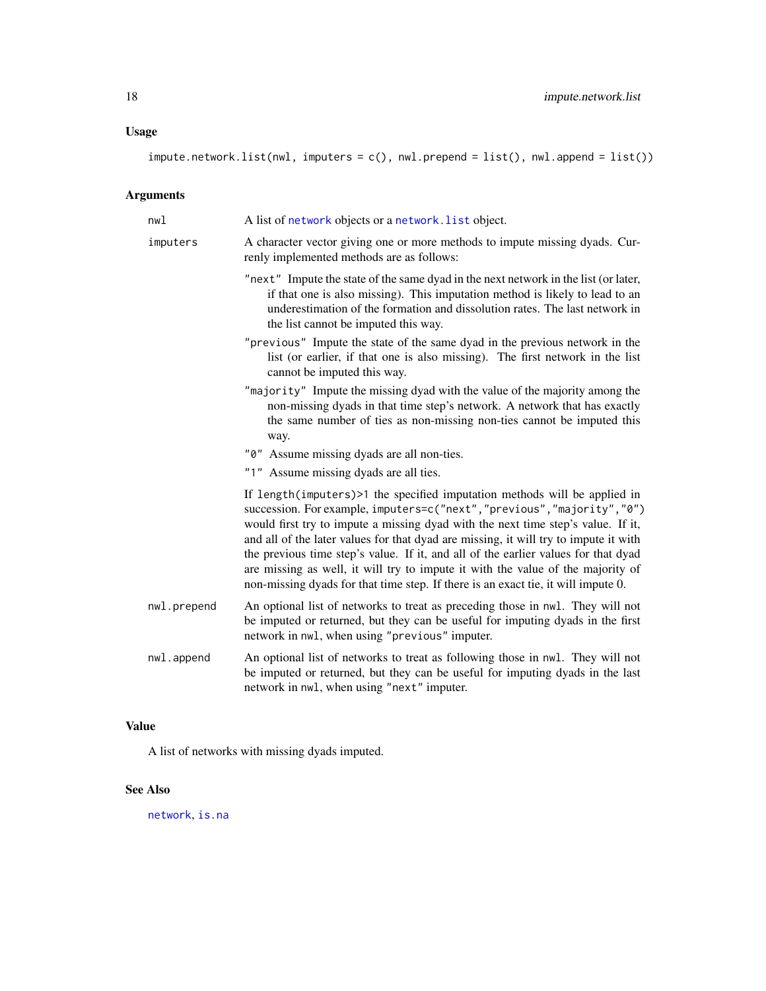# <span id="page-17-0"></span>Usage

```
impute.network.list(nwl, imputers = c(), nwl.prepend = list(), nwl.append = list())
```
# Arguments

| nwl         | A list of network objects or a network. List object.                                                                                                                                                                                                                                                                                                                                                                                                                                                                                                                                            |
|-------------|-------------------------------------------------------------------------------------------------------------------------------------------------------------------------------------------------------------------------------------------------------------------------------------------------------------------------------------------------------------------------------------------------------------------------------------------------------------------------------------------------------------------------------------------------------------------------------------------------|
| imputers    | A character vector giving one or more methods to impute missing dyads. Cur-<br>renly implemented methods are as follows:                                                                                                                                                                                                                                                                                                                                                                                                                                                                        |
|             | "next" Impute the state of the same dyad in the next network in the list (or later,<br>if that one is also missing). This imputation method is likely to lead to an<br>underestimation of the formation and dissolution rates. The last network in<br>the list cannot be imputed this way.                                                                                                                                                                                                                                                                                                      |
|             | "previous" Impute the state of the same dyad in the previous network in the<br>list (or earlier, if that one is also missing). The first network in the list<br>cannot be imputed this way.                                                                                                                                                                                                                                                                                                                                                                                                     |
|             | "majority" Impute the missing dyad with the value of the majority among the<br>non-missing dyads in that time step's network. A network that has exactly<br>the same number of ties as non-missing non-ties cannot be imputed this<br>way.                                                                                                                                                                                                                                                                                                                                                      |
|             | "0" Assume missing dyads are all non-ties.                                                                                                                                                                                                                                                                                                                                                                                                                                                                                                                                                      |
|             | "1" Assume missing dyads are all ties.                                                                                                                                                                                                                                                                                                                                                                                                                                                                                                                                                          |
|             | If length(imputers)>1 the specified imputation methods will be applied in<br>succession. For example, imputers=c("next", "previous", "majority", "0")<br>would first try to impute a missing dyad with the next time step's value. If it,<br>and all of the later values for that dyad are missing, it will try to impute it with<br>the previous time step's value. If it, and all of the earlier values for that dyad<br>are missing as well, it will try to impute it with the value of the majority of<br>non-missing dyads for that time step. If there is an exact tie, it will impute 0. |
| nwl.prepend | An optional list of networks to treat as preceding those in nwl. They will not<br>be imputed or returned, but they can be useful for imputing dyads in the first<br>network in nwl, when using "previous" imputer.                                                                                                                                                                                                                                                                                                                                                                              |
| nwl.append  | An optional list of networks to treat as following those in nwl. They will not<br>be imputed or returned, but they can be useful for imputing dyads in the last<br>network in nwl, when using "next" imputer.                                                                                                                                                                                                                                                                                                                                                                                   |

# Value

A list of networks with missing dyads imputed.

# See Also

[network](#page-0-0), [is.na](#page-0-0)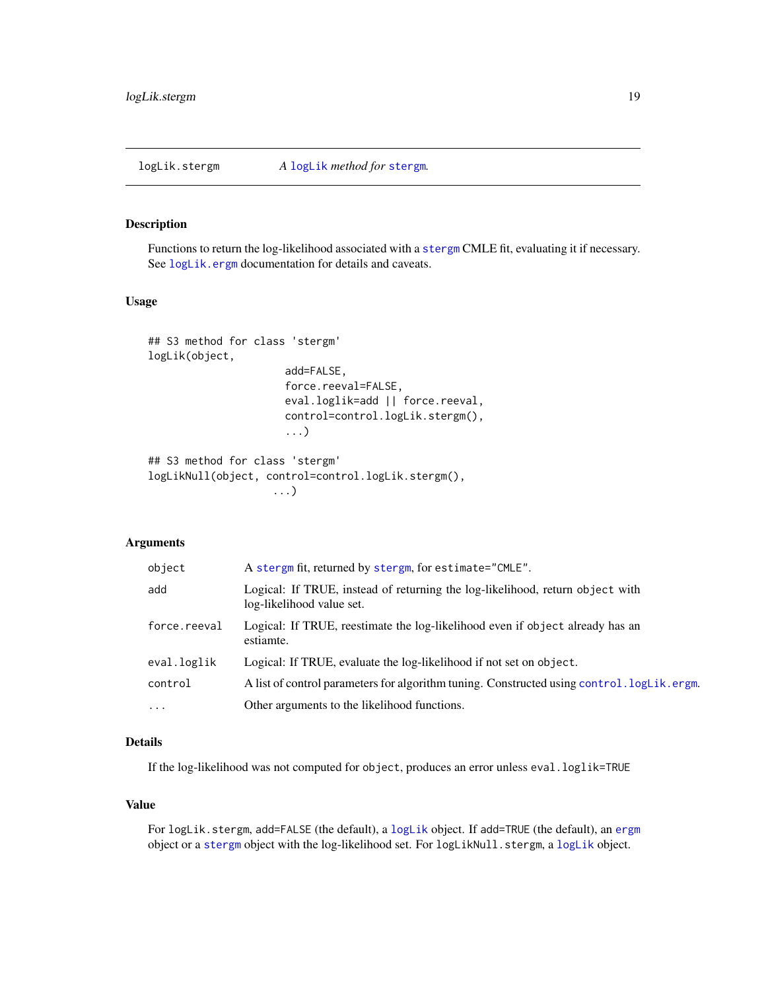<span id="page-18-0"></span>

# Description

Functions to return the log-likelihood associated with a [stergm](#page-26-2) CMLE fit, evaluating it if necessary. See [logLik.ergm](#page-0-0) documentation for details and caveats.

# Usage

```
## S3 method for class 'stergm'
logLik(object,
                      add=FALSE,
                      force.reeval=FALSE,
                      eval.loglik=add || force.reeval,
                      control=control.logLik.stergm(),
                      ...)
## S3 method for class 'stergm'
logLikNull(object, control=control.logLik.stergm(),
                    ...)
```
# Arguments

| object       | A stergm fit, returned by stergm, for estimate="CMLE".                                                     |
|--------------|------------------------------------------------------------------------------------------------------------|
| add          | Logical: If TRUE, instead of returning the log-likelihood, return object with<br>log-likelihood value set. |
| force.reeval | Logical: If TRUE, reestimate the log-likelihood even if object already has an<br>estiamte.                 |
| eval.loglik  | Logical: If TRUE, evaluate the log-likelihood if not set on object.                                        |
| control      | A list of control parameters for algorithm tuning. Constructed using control. logLik.ergm.                 |
| $\cdots$     | Other arguments to the likelihood functions.                                                               |

# Details

If the log-likelihood was not computed for object, produces an error unless eval.loglik=TRUE

# Value

For logLik.stergm, add=FALSE (the default), a [logLik](#page-0-0) object. If add=TRUE (the default), an [ergm](#page-0-0) object or a [stergm](#page-26-2) object with the log-likelihood set. For logLikNull.stergm, a [logLik](#page-0-0) object.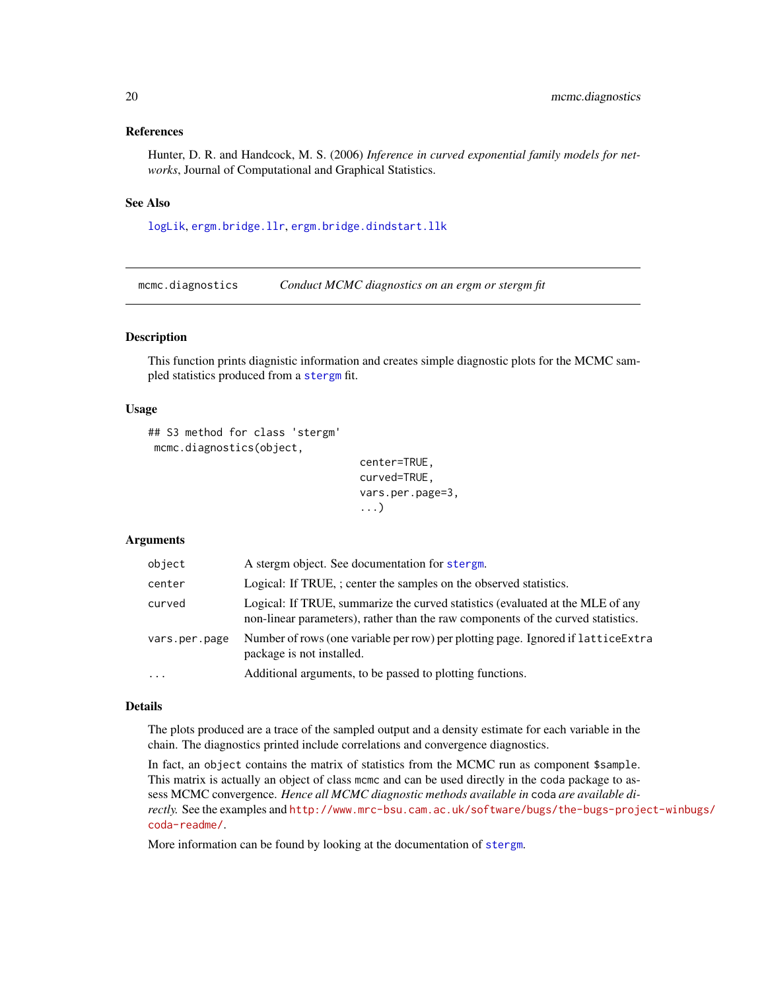# <span id="page-19-0"></span>References

Hunter, D. R. and Handcock, M. S. (2006) *Inference in curved exponential family models for networks*, Journal of Computational and Graphical Statistics.

# See Also

[logLik](#page-0-0), [ergm.bridge.llr](#page-0-0), [ergm.bridge.dindstart.llk](#page-0-0)

mcmc.diagnostics *Conduct MCMC diagnostics on an ergm or stergm fit*

# <span id="page-19-1"></span>Description

This function prints diagnistic information and creates simple diagnostic plots for the MCMC sampled statistics produced from a [stergm](#page-26-1) fit.

# Usage

```
## S3 method for class 'stergm'
mcmc.diagnostics(object,
```

```
center=TRUE,
curved=TRUE,
vars.per.page=3,
...)
```
# Arguments

| object        | A stergm object. See documentation for stergm.                                                                                                                     |
|---------------|--------------------------------------------------------------------------------------------------------------------------------------------------------------------|
| center        | Logical: If TRUE, ; center the samples on the observed statistics.                                                                                                 |
| curved        | Logical: If TRUE, summarize the curved statistics (evaluated at the MLE of any<br>non-linear parameters), rather than the raw components of the curved statistics. |
| vars.per.page | Number of rows (one variable per row) per plotting page. Ignored if lattice Extra<br>package is not installed.                                                     |
| $\cdot$       | Additional arguments, to be passed to plotting functions.                                                                                                          |

#### Details

The plots produced are a trace of the sampled output and a density estimate for each variable in the chain. The diagnostics printed include correlations and convergence diagnostics.

In fact, an object contains the matrix of statistics from the MCMC run as component \$sample. This matrix is actually an object of class mcmc and can be used directly in the coda package to assess MCMC convergence. *Hence all MCMC diagnostic methods available in* coda *are available directly.* See the examples and [http://www.mrc-bsu.cam.ac.uk/software/bugs/the-bugs-proje](http://www.mrc-bsu.cam.ac.uk/software/bugs/the-bugs-project-winbugs/coda-readme/)ct-winbugs/ [coda-readme/](http://www.mrc-bsu.cam.ac.uk/software/bugs/the-bugs-project-winbugs/coda-readme/).

More information can be found by looking at the documentation of [stergm](#page-26-1).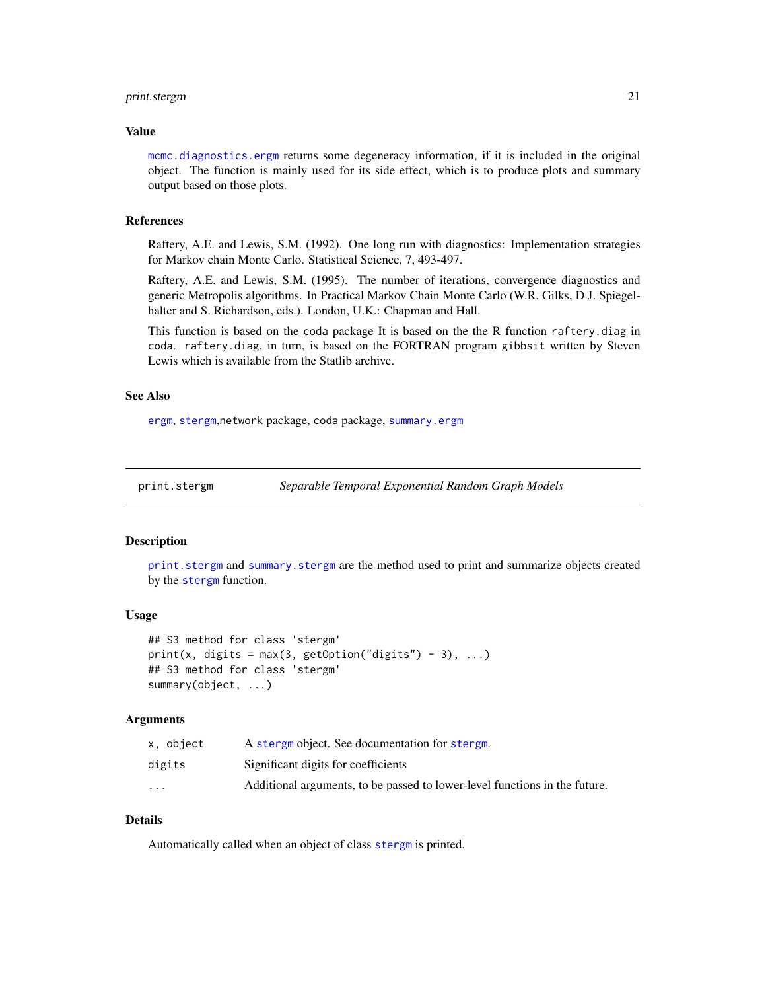# <span id="page-20-0"></span>print.stergm 21

# Value

[mcmc.diagnostics.ergm](#page-0-0) returns some degeneracy information, if it is included in the original object. The function is mainly used for its side effect, which is to produce plots and summary output based on those plots.

# References

Raftery, A.E. and Lewis, S.M. (1992). One long run with diagnostics: Implementation strategies for Markov chain Monte Carlo. Statistical Science, 7, 493-497.

Raftery, A.E. and Lewis, S.M. (1995). The number of iterations, convergence diagnostics and generic Metropolis algorithms. In Practical Markov Chain Monte Carlo (W.R. Gilks, D.J. Spiegelhalter and S. Richardson, eds.). London, U.K.: Chapman and Hall.

This function is based on the coda package It is based on the the R function raftery.diag in coda. raftery.diag, in turn, is based on the FORTRAN program gibbsit written by Steven Lewis which is available from the Statlib archive.

# See Also

[ergm](#page-0-0), [stergm](#page-26-1),network package, coda package, [summary.ergm](#page-0-0)

<span id="page-20-1"></span>

print.stergm *Separable Temporal Exponential Random Graph Models*

# <span id="page-20-2"></span>**Description**

[print.stergm](#page-20-1) and [summary.stergm](#page-20-2) are the method used to print and summarize objects created by the [stergm](#page-26-1) function.

#### Usage

```
## S3 method for class 'stergm'
print(x, digits = max(3, getOption("digits") - 3), ...)## S3 method for class 'stergm'
summary(object, ...)
```
#### Arguments

| x, object               | A stergm object. See documentation for stergm.                             |
|-------------------------|----------------------------------------------------------------------------|
| digits                  | Significant digits for coefficients                                        |
| $\cdot$ $\cdot$ $\cdot$ | Additional arguments, to be passed to lower-level functions in the future. |

# Details

Automatically called when an object of class [stergm](#page-26-1) is printed.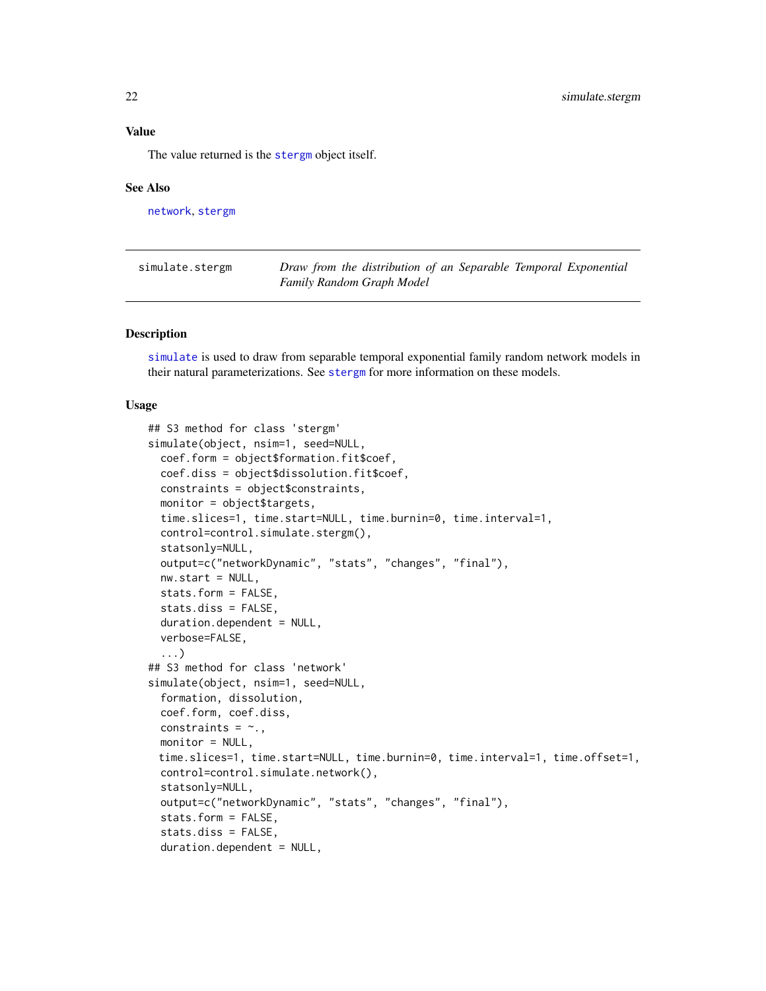<span id="page-21-0"></span>Value

The value returned is the [stergm](#page-26-1) object itself.

# See Also

[network](#page-0-0), [stergm](#page-26-1)

<span id="page-21-1"></span>

| simulate.stergm | Draw from the distribution of an Separable Temporal Exponential |
|-----------------|-----------------------------------------------------------------|
|                 | <b>Family Random Graph Model</b>                                |

# Description

[simulate](#page-0-0) is used to draw from separable temporal exponential family random network models in their natural parameterizations. See [stergm](#page-26-1) for more information on these models.

# Usage

```
## S3 method for class 'stergm'
simulate(object, nsim=1, seed=NULL,
  coef.form = object$formation.fit$coef,
  coef.diss = object$dissolution.fit$coef,
  constraints = object$constraints,
 monitor = object$targets,
  time.slices=1, time.start=NULL, time.burnin=0, time.interval=1,
  control=control.simulate.stergm(),
  statsonly=NULL,
  output=c("networkDynamic", "stats", "changes", "final"),
  nw.start = NULL,
  stats.form = FALSE,
  stats.diss = FALSE,
  duration.dependent = NULL,
 verbose=FALSE,
  ...)
## S3 method for class 'network'
simulate(object, nsim=1, seed=NULL,
  formation, dissolution,
  coef.form, coef.diss,
 constraints = \sim.,
 monitor = NULL,
 time.slices=1, time.start=NULL, time.burnin=0, time.interval=1, time.offset=1,
  control=control.simulate.network(),
  statsonly=NULL,
  output=c("networkDynamic", "stats", "changes", "final"),
  stats.form = FALSE,
  stats.diss = FALSE,
  duration.dependent = NULL,
```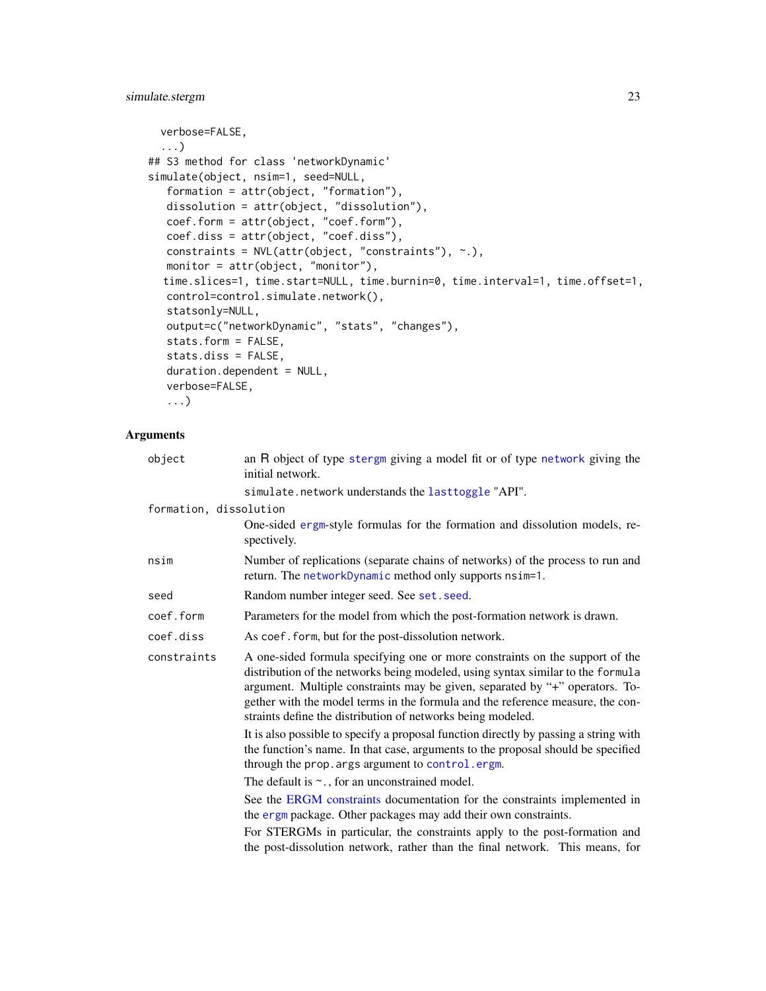```
verbose=FALSE,
  ...)
## S3 method for class 'networkDynamic'
simulate(object, nsim=1, seed=NULL,
  formation = attr(object, "formation"),
  dissolution = attr(object, "dissolution"),
  coef.form = attr(object, "coef.form"),
  coef.diss = attr(object, "coef.diss"),
  constraints = NVL(attr(object, "constraints"), ~.),
  monitor = attr(object, "monitor"),
  time.slices=1, time.start=NULL, time.burnin=0, time.interval=1, time.offset=1,
  control=control.simulate.network(),
  statsonly=NULL,
  output=c("networkDynamic", "stats", "changes"),
  stats.form = FALSE,
  stats.diss = FALSE,
  duration.dependent = NULL,
  verbose=FALSE,
   ...)
```
# Arguments

| object                 | an R object of type stergm giving a model fit or of type network giving the<br>initial network.                                                                                                                                                                                                                                                                                                  |
|------------------------|--------------------------------------------------------------------------------------------------------------------------------------------------------------------------------------------------------------------------------------------------------------------------------------------------------------------------------------------------------------------------------------------------|
|                        | simulate.network understands the lasttoggle "API".                                                                                                                                                                                                                                                                                                                                               |
| formation, dissolution |                                                                                                                                                                                                                                                                                                                                                                                                  |
|                        | One-sided ergm-style formulas for the formation and dissolution models, re-<br>spectively.                                                                                                                                                                                                                                                                                                       |
| nsim                   | Number of replications (separate chains of networks) of the process to run and<br>return. The networkDynamic method only supports nsim=1.                                                                                                                                                                                                                                                        |
| seed                   | Random number integer seed. See set. seed.                                                                                                                                                                                                                                                                                                                                                       |
| coef.form              | Parameters for the model from which the post-formation network is drawn.                                                                                                                                                                                                                                                                                                                         |
| coef.diss              | As coef. form, but for the post-dissolution network.                                                                                                                                                                                                                                                                                                                                             |
| constraints            | A one-sided formula specifying one or more constraints on the support of the<br>distribution of the networks being modeled, using syntax similar to the formula<br>argument. Multiple constraints may be given, separated by "+" operators. To-<br>gether with the model terms in the formula and the reference measure, the con-<br>straints define the distribution of networks being modeled. |
|                        | It is also possible to specify a proposal function directly by passing a string with<br>the function's name. In that case, arguments to the proposal should be specified<br>through the prop. args argument to control. ergm.                                                                                                                                                                    |
|                        | The default is $\sim$ ., for an unconstrained model.                                                                                                                                                                                                                                                                                                                                             |
|                        | See the ERGM constraints documentation for the constraints implemented in<br>the ergm package. Other packages may add their own constraints.                                                                                                                                                                                                                                                     |
|                        | For STERGMs in particular, the constraints apply to the post-formation and<br>the post-dissolution network, rather than the final network. This means, for                                                                                                                                                                                                                                       |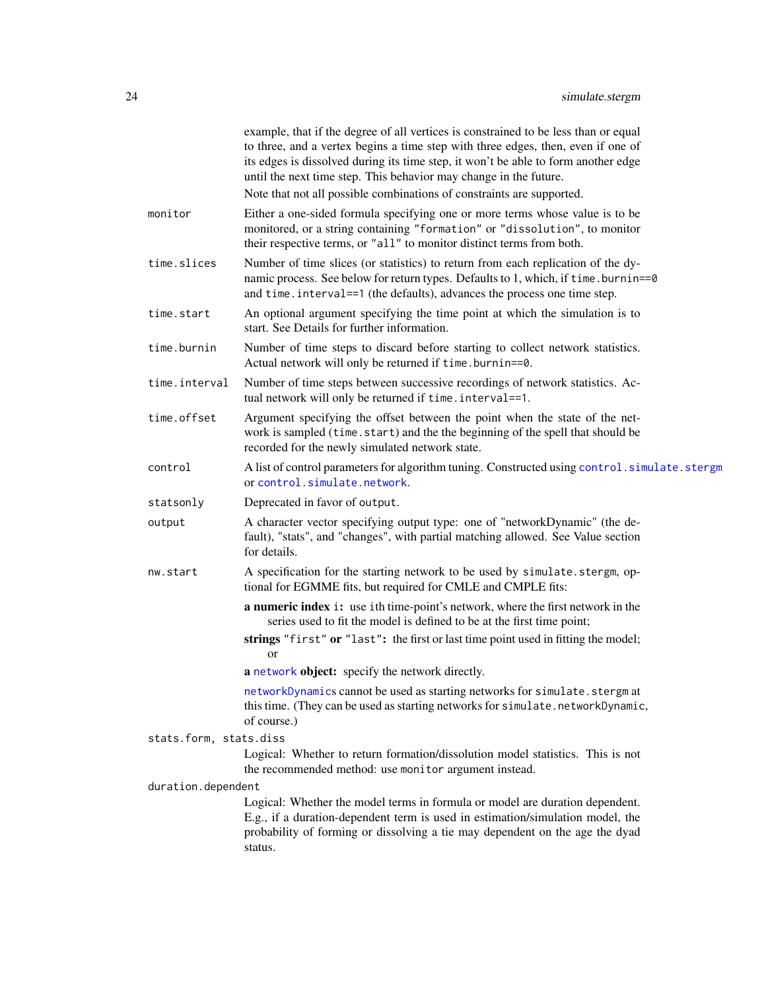<span id="page-23-0"></span>

|                        | example, that if the degree of all vertices is constrained to be less than or equal<br>to three, and a vertex begins a time step with three edges, then, even if one of<br>its edges is dissolved during its time step, it won't be able to form another edge<br>until the next time step. This behavior may change in the future. |
|------------------------|------------------------------------------------------------------------------------------------------------------------------------------------------------------------------------------------------------------------------------------------------------------------------------------------------------------------------------|
|                        | Note that not all possible combinations of constraints are supported.                                                                                                                                                                                                                                                              |
| monitor                | Either a one-sided formula specifying one or more terms whose value is to be<br>monitored, or a string containing "formation" or "dissolution", to monitor<br>their respective terms, or "all" to monitor distinct terms from both.                                                                                                |
| time.slices            | Number of time slices (or statistics) to return from each replication of the dy-<br>namic process. See below for return types. Defaults to 1, which, if time.burnin==0<br>and time. interval==1 (the defaults), advances the process one time step.                                                                                |
| time.start             | An optional argument specifying the time point at which the simulation is to<br>start. See Details for further information.                                                                                                                                                                                                        |
| time.burnin            | Number of time steps to discard before starting to collect network statistics.<br>Actual network will only be returned if time.burnin==0.                                                                                                                                                                                          |
| time.interval          | Number of time steps between successive recordings of network statistics. Ac-<br>tual network will only be returned if time. interval==1.                                                                                                                                                                                          |
| time.offset            | Argument specifying the offset between the point when the state of the net-<br>work is sampled (time.start) and the the beginning of the spell that should be<br>recorded for the newly simulated network state.                                                                                                                   |
| control                | A list of control parameters for algorithm tuning. Constructed using control.simulate.stergm<br>or control.simulate.network.                                                                                                                                                                                                       |
| statsonly              | Deprecated in favor of output.                                                                                                                                                                                                                                                                                                     |
| output                 | A character vector specifying output type: one of "networkDynamic" (the de-<br>fault), "stats", and "changes", with partial matching allowed. See Value section<br>for details.                                                                                                                                                    |
| nw.start               | A specification for the starting network to be used by simulate.stergm, op-<br>tional for EGMME fits, but required for CMLE and CMPLE fits:                                                                                                                                                                                        |
|                        | <b>a numeric index i:</b> use ith time-point's network, where the first network in the<br>series used to fit the model is defined to be at the first time point;                                                                                                                                                                   |
|                        | strings "first" or "last": the first or last time point used in fitting the model;<br>$\alpha$                                                                                                                                                                                                                                     |
|                        | a network object: specify the network directly.                                                                                                                                                                                                                                                                                    |
|                        | networkDynamics cannot be used as starting networks for simulate. stergm at<br>this time. (They can be used as starting networks for simulate.networkDynamic,<br>of course.)                                                                                                                                                       |
| stats.form, stats.diss |                                                                                                                                                                                                                                                                                                                                    |
|                        | Logical: Whether to return formation/dissolution model statistics. This is not<br>the recommended method: use monitor argument instead.                                                                                                                                                                                            |
| duration.dependent     |                                                                                                                                                                                                                                                                                                                                    |
|                        | Logical: Whether the model terms in formula or model are duration dependent.<br>E.g., if a duration-dependent term is used in estimation/simulation model, the                                                                                                                                                                     |
|                        | probability of forming or dissolving a tie may dependent on the age the dyad<br>status.                                                                                                                                                                                                                                            |
|                        |                                                                                                                                                                                                                                                                                                                                    |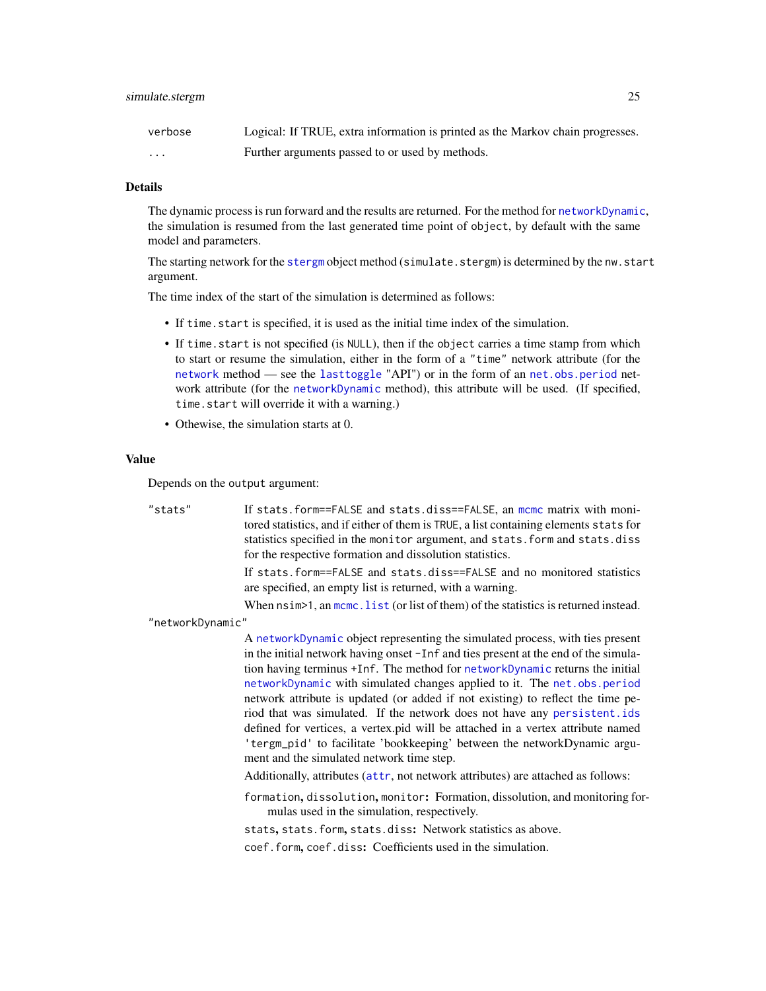<span id="page-24-0"></span>

| verbose              | Logical: If TRUE, extra information is printed as the Markov chain progresses. |
|----------------------|--------------------------------------------------------------------------------|
| $\ddot{\phantom{0}}$ | Further arguments passed to or used by methods.                                |

#### Details

The dynamic process is run forward and the results are returned. For the method for [networkDynamic](#page-0-0), the simulation is resumed from the last generated time point of object, by default with the same model and parameters.

The starting network for the [stergm](#page-26-1) object method (simulate.stergm) is determined by the nw.start argument.

The time index of the start of the simulation is determined as follows:

- If time.start is specified, it is used as the initial time index of the simulation.
- If time.start is not specified (is NULL), then if the object carries a time stamp from which to start or resume the simulation, either in the form of a "time" network attribute (for the [network](#page-0-0) method — see the [lasttoggle](#page-0-0) "API") or in the form of an [net.obs.period](#page-0-0) network attribute (for the [networkDynamic](#page-0-0) method), this attribute will be used. (If specified, time.start will override it with a warning.)
- Othewise, the simulation starts at 0.

#### Value

Depends on the output argument:

"stats" If stats.form==FALSE and stats.diss==FALSE, an [mcmc](#page-0-0) matrix with monitored statistics, and if either of them is TRUE, a list containing elements stats for statistics specified in the monitor argument, and stats.form and stats.diss for the respective formation and dissolution statistics.

> If stats.form==FALSE and stats.diss==FALSE and no monitored statistics are specified, an empty list is returned, with a warning.

> When  $nsim>1$ , an mcmc. list (or list of them) of the statistics is returned instead.

"networkDynamic"

A [networkDynamic](#page-0-0) object representing the simulated process, with ties present in the initial network having onset -Inf and ties present at the end of the simulation having terminus +Inf. The method for [networkDynamic](#page-0-0) returns the initial [networkDynamic](#page-0-0) with simulated changes applied to it. The [net.obs.period](#page-0-0) network attribute is updated (or added if not existing) to reflect the time period that was simulated. If the network does not have any [persistent.ids](#page-0-0) defined for vertices, a vertex.pid will be attached in a vertex attribute named 'tergm\_pid' to facilitate 'bookkeeping' between the networkDynamic argument and the simulated network time step.

Additionally, attributes ([attr](#page-0-0), not network attributes) are attached as follows:

formation, dissolution, monitor: Formation, dissolution, and monitoring formulas used in the simulation, respectively.

stats, stats.form, stats.diss: Network statistics as above.

coef.form, coef.diss: Coefficients used in the simulation.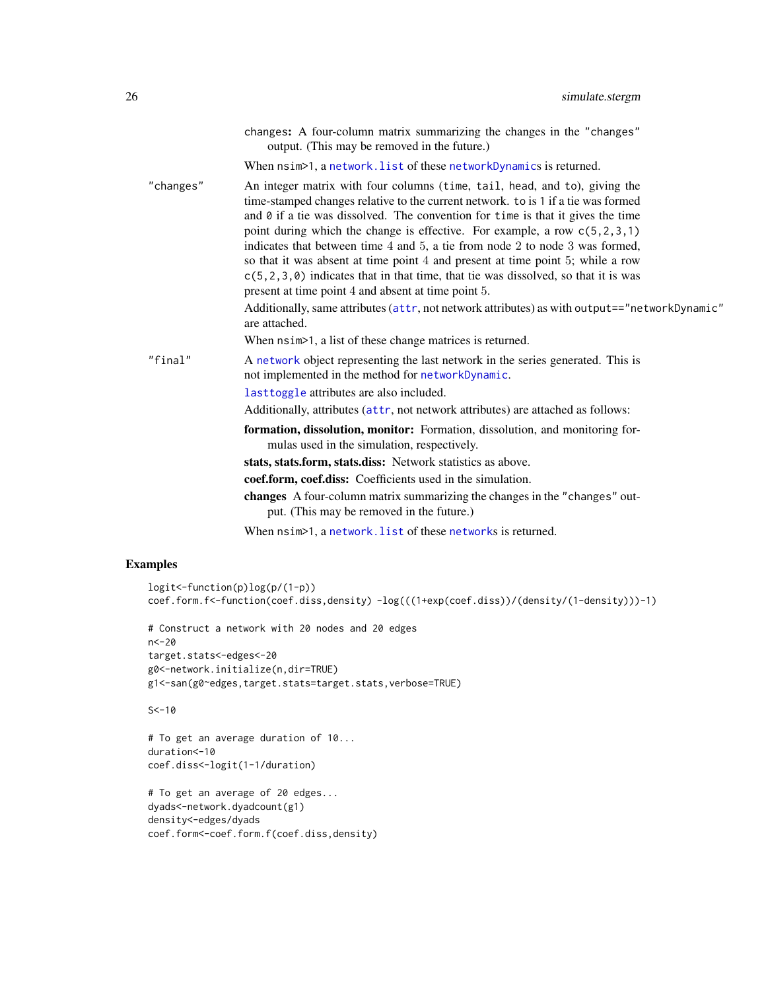<span id="page-25-0"></span>

|           | changes: A four-column matrix summarizing the changes in the "changes"<br>output. (This may be removed in the future.)                                                                                                                                                                                                                                                                                                                                                                                                                                                                                                                                                                                                                                                           |
|-----------|----------------------------------------------------------------------------------------------------------------------------------------------------------------------------------------------------------------------------------------------------------------------------------------------------------------------------------------------------------------------------------------------------------------------------------------------------------------------------------------------------------------------------------------------------------------------------------------------------------------------------------------------------------------------------------------------------------------------------------------------------------------------------------|
|           | When $nsim>1$ , a network. list of these networkDynamics is returned.                                                                                                                                                                                                                                                                                                                                                                                                                                                                                                                                                                                                                                                                                                            |
| "changes" | An integer matrix with four columns (time, tail, head, and to), giving the<br>time-stamped changes relative to the current network. to is 1 if a tie was formed<br>and $\theta$ if a tie was dissolved. The convention for time is that it gives the time<br>point during which the change is effective. For example, a row $c(5, 2, 3, 1)$<br>indicates that between time 4 and 5, a tie from node 2 to node 3 was formed,<br>so that it was absent at time point 4 and present at time point 5; while a row<br>$c(5, 2, 3, 0)$ indicates that in that time, that tie was dissolved, so that it is was<br>present at time point 4 and absent at time point 5.<br>Additionally, same attributes (attr, not network attributes) as with output=="networkDynamic"<br>are attached. |
|           | When $nsim>1$ , a list of these change matrices is returned.                                                                                                                                                                                                                                                                                                                                                                                                                                                                                                                                                                                                                                                                                                                     |
| "final"   | A network object representing the last network in the series generated. This is<br>not implemented in the method for networkDynamic.                                                                                                                                                                                                                                                                                                                                                                                                                                                                                                                                                                                                                                             |
|           | lasttoggle attributes are also included.                                                                                                                                                                                                                                                                                                                                                                                                                                                                                                                                                                                                                                                                                                                                         |
|           | Additionally, attributes (attr, not network attributes) are attached as follows:                                                                                                                                                                                                                                                                                                                                                                                                                                                                                                                                                                                                                                                                                                 |
|           | formation, dissolution, monitor: Formation, dissolution, and monitoring for-<br>mulas used in the simulation, respectively.                                                                                                                                                                                                                                                                                                                                                                                                                                                                                                                                                                                                                                                      |
|           | stats, stats.form, stats.diss: Network statistics as above.                                                                                                                                                                                                                                                                                                                                                                                                                                                                                                                                                                                                                                                                                                                      |
|           | coef.form, coef.diss: Coefficients used in the simulation.                                                                                                                                                                                                                                                                                                                                                                                                                                                                                                                                                                                                                                                                                                                       |
|           | changes A four-column matrix summarizing the changes in the "changes" out-<br>put. (This may be removed in the future.)                                                                                                                                                                                                                                                                                                                                                                                                                                                                                                                                                                                                                                                          |
|           | When $nsim>1$ , a network. list of these networks is returned.                                                                                                                                                                                                                                                                                                                                                                                                                                                                                                                                                                                                                                                                                                                   |

# Examples

```
logit<-function(p)log(p/(1-p))
coef.form.f<-function(coef.diss,density) -log(((1+exp(coef.diss))/(density/(1-density)))-1)
# Construct a network with 20 nodes and 20 edges
n<-20
target.stats<-edges<-20
g0<-network.initialize(n,dir=TRUE)
g1<-san(g0~edges,target.stats=target.stats,verbose=TRUE)
S < -10# To get an average duration of 10...
duration<-10
coef.diss<-logit(1-1/duration)
# To get an average of 20 edges...
dyads<-network.dyadcount(g1)
density<-edges/dyads
coef.form<-coef.form.f(coef.diss,density)
```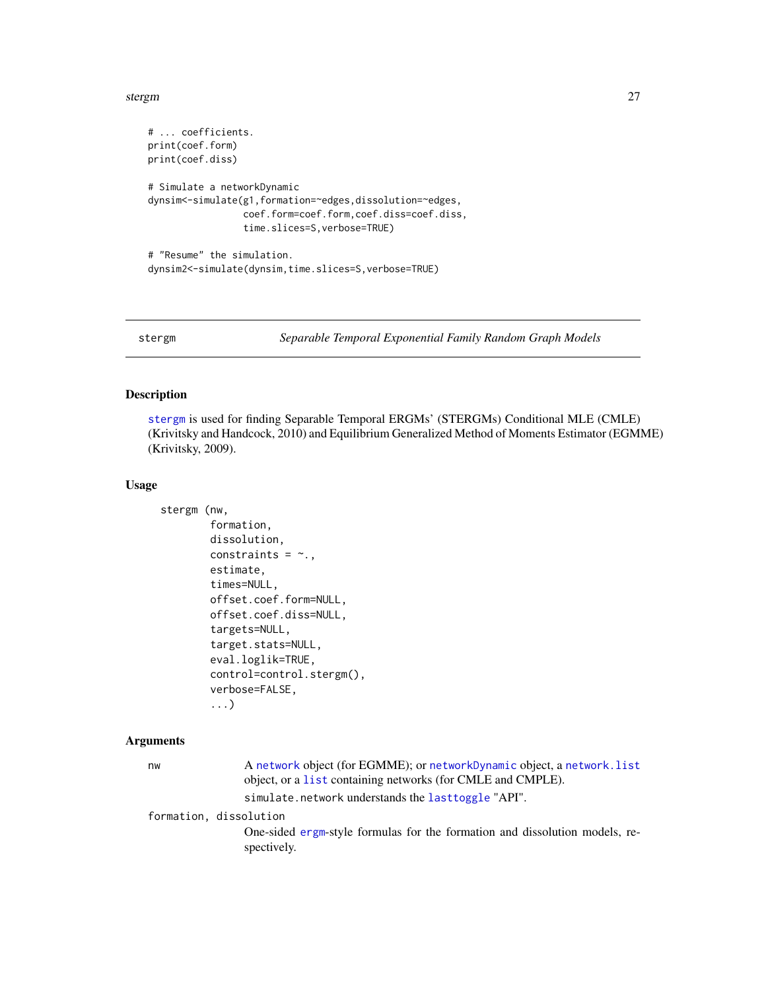#### <span id="page-26-0"></span>stergm 27

```
# ... coefficients.
print(coef.form)
print(coef.diss)
# Simulate a networkDynamic
dynsim<-simulate(g1,formation=~edges,dissolution=~edges,
                 coef.form=coef.form,coef.diss=coef.diss,
                 time.slices=S,verbose=TRUE)
# "Resume" the simulation.
dynsim2<-simulate(dynsim,time.slices=S,verbose=TRUE)
```
<span id="page-26-1"></span>stergm *Separable Temporal Exponential Family Random Graph Models*

# <span id="page-26-2"></span>Description

[stergm](#page-26-1) is used for finding Separable Temporal ERGMs' (STERGMs) Conditional MLE (CMLE) (Krivitsky and Handcock, 2010) and Equilibrium Generalized Method of Moments Estimator (EGMME) (Krivitsky, 2009).

# Usage

```
stergm (nw,
        formation,
        dissolution,
        constraints = \sim.,
        estimate,
        times=NULL,
        offset.coef.form=NULL,
        offset.coef.diss=NULL,
        targets=NULL,
        target.stats=NULL,
        eval.loglik=TRUE,
        control=control.stergm(),
        verbose=FALSE,
        ...)
```
# Arguments

| nw                     | A network object (for EGMME); or networkDynamic object, a network. list<br>object, or a list containing networks (for CMLE and CMPLE). |
|------------------------|----------------------------------------------------------------------------------------------------------------------------------------|
|                        | simulate.network understands the lasttoggle "API".                                                                                     |
| formation, dissolution | One-sided ergm-style formulas for the formation and dissolution models, re-                                                            |
|                        | spectively.                                                                                                                            |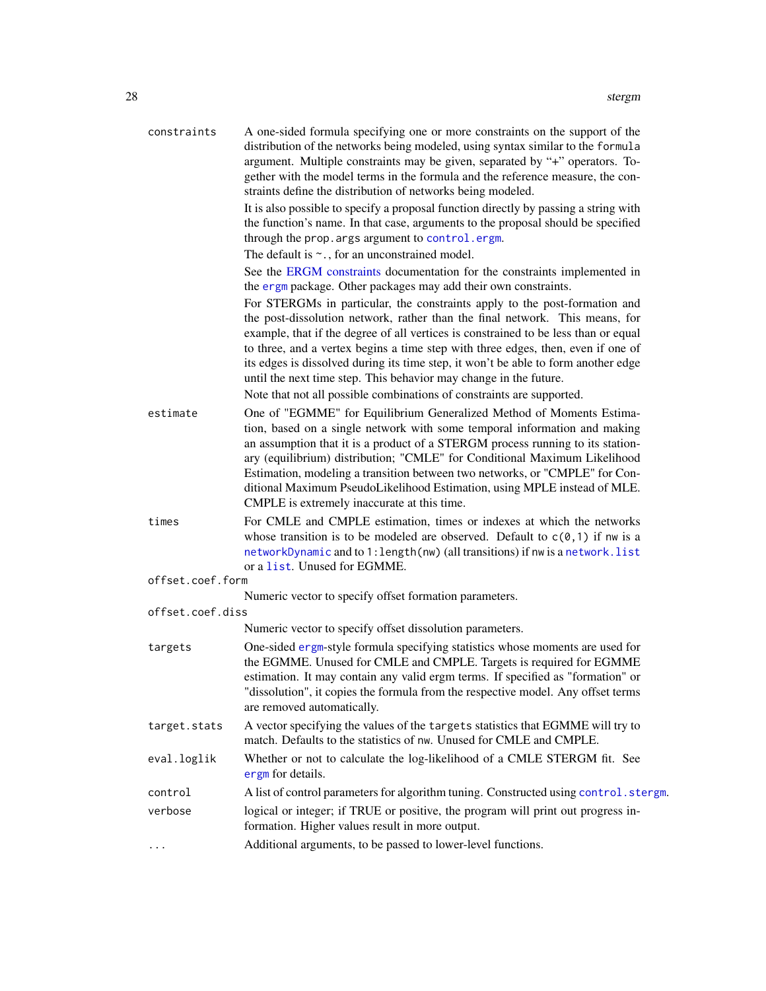<span id="page-27-0"></span>

| constraints | A one-sided formula specifying one or more constraints on the support of the    |
|-------------|---------------------------------------------------------------------------------|
|             | distribution of the networks being modeled, using syntax similar to the formula |
|             | argument. Multiple constraints may be given, separated by "+" operators. To-    |
|             | gether with the model terms in the formula and the reference measure, the con-  |
|             | straints define the distribution of networks being modeled.                     |
|             |                                                                                 |

It is also possible to specify a proposal function directly by passing a string with the function's name. In that case, arguments to the proposal should be specified through the prop.args argument to [control.ergm](#page-0-0).

The default is  $\sim$ ., for an unconstrained model.

See the [ERGM constraints](#page-12-1) documentation for the constraints implemented in the [ergm](#page-0-0) package. Other packages may add their own constraints.

For STERGMs in particular, the constraints apply to the post-formation and the post-dissolution network, rather than the final network. This means, for example, that if the degree of all vertices is constrained to be less than or equal to three, and a vertex begins a time step with three edges, then, even if one of its edges is dissolved during its time step, it won't be able to form another edge until the next time step. This behavior may change in the future.

Note that not all possible combinations of constraints are supported.

- estimate One of "EGMME" for Equilibrium Generalized Method of Moments Estimation, based on a single network with some temporal information and making an assumption that it is a product of a STERGM process running to its stationary (equilibrium) distribution; "CMLE" for Conditional Maximum Likelihood Estimation, modeling a transition between two networks, or "CMPLE" for Conditional Maximum PseudoLikelihood Estimation, using MPLE instead of MLE. CMPLE is extremely inaccurate at this time.
- times For CMLE and CMPLE estimation, times or indexes at which the networks whose transition is to be modeled are observed. Default to  $c(0,1)$  if nw is a [networkDynamic](#page-0-0) and to 1:length(nw) (all transitions) if nw is a [network.list](#page-0-0) or a [list](#page-0-0). Unused for EGMME.

|  | offset.coef.form |  |  |
|--|------------------|--|--|
|  |                  |  |  |

Numeric vector to specify offset formation parameters.

Numeric vector to specify offset dissolution parameters.

- targets One-sided [ergm](#page-0-0)-style formula specifying statistics whose moments are used for the EGMME. Unused for CMLE and CMPLE. Targets is required for EGMME estimation. It may contain any valid ergm terms. If specified as "formation" or "dissolution", it copies the formula from the respective model. Any offset terms are removed automatically.
- target.stats A vector specifying the values of the targets statistics that EGMME will try to match. Defaults to the statistics of nw. Unused for CMLE and CMPLE.
- eval.loglik Whether or not to calculate the log-likelihood of a CMLE STERGM fit. See [ergm](#page-0-0) for details.
- control A list of control parameters for algorithm tuning. Constructed using control. stergm.

verbose logical or integer; if TRUE or positive, the program will print out progress information. Higher values result in more output.

... Additional arguments, to be passed to lower-level functions.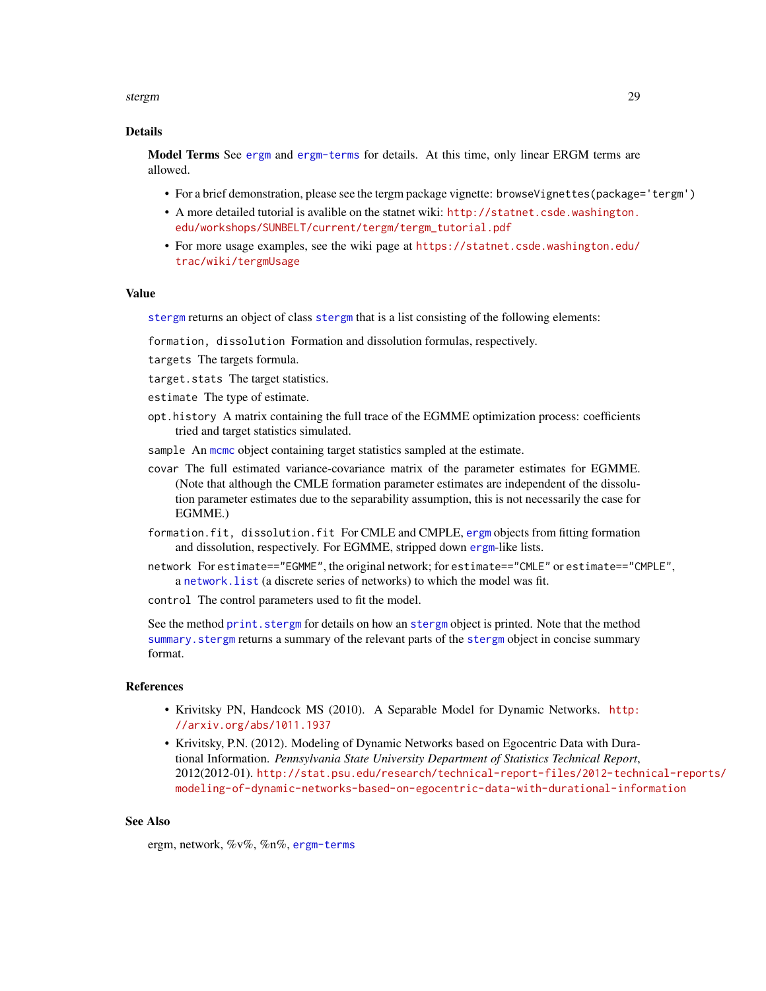#### <span id="page-28-0"></span>stergm 29 and 20 and 20 and 20 and 20 and 20 and 20 and 20 and 20 and 20 and 20 and 20 and 20 and 20 and 20 and 20 and 20 and 20 and 20 and 20 and 20 and 20 and 20 and 20 and 20 and 20 and 20 and 20 and 20 and 20 and 20 an

# Details

Model Terms See [ergm](#page-0-0) and [ergm-terms](#page-13-1) for details. At this time, only linear ERGM terms are allowed.

- For a brief demonstration, please see the tergm package vignette: browseVignettes(package='tergm')
- A more detailed tutorial is avalible on the statnet wiki: [http://statnet.csde.washington.](http://statnet.csde.washington.edu/workshops/SUNBELT/current/tergm/tergm_tutorial.pdf) [edu/workshops/SUNBELT/current/tergm/tergm\\_tutorial.pdf](http://statnet.csde.washington.edu/workshops/SUNBELT/current/tergm/tergm_tutorial.pdf)
- For more usage examples, see the wiki page at [https://statnet.csde.washington.edu/](https://statnet.csde.washington.edu/trac/wiki/tergmUsage) [trac/wiki/tergmUsage](https://statnet.csde.washington.edu/trac/wiki/tergmUsage)

#### Value

[stergm](#page-26-1) returns an object of class [stergm](#page-26-1) that is a list consisting of the following elements:

formation, dissolution Formation and dissolution formulas, respectively.

- targets The targets formula.
- target.stats The target statistics.
- estimate The type of estimate.
- opt.history A matrix containing the full trace of the EGMME optimization process: coefficients tried and target statistics simulated.
- sample An [mcmc](#page-0-0) object containing target statistics sampled at the estimate.
- covar The full estimated variance-covariance matrix of the parameter estimates for EGMME. (Note that although the CMLE formation parameter estimates are independent of the dissolution parameter estimates due to the separability assumption, this is not necessarily the case for EGMME.)
- formation.fit, dissolution.fit For CMLE and CMPLE, [ergm](#page-0-0) objects from fitting formation and dissolution, respectively. For EGMME, stripped down [ergm](#page-0-0)-like lists.
- network For estimate=="EGMME", the original network; for estimate=="CMLE" or estimate=="CMPLE", a [network.list](#page-0-0) (a discrete series of networks) to which the model was fit.

control The control parameters used to fit the model.

See the method print. [stergm](#page-26-1) for details on how an stergm object is printed. Note that the method summary. [stergm](#page-26-1) returns a summary of the relevant parts of the stergm object in concise summary format.

# References

- Krivitsky PN, Handcock MS (2010). A Separable Model for Dynamic Networks. [http:](http://arxiv.org/abs/1011.1937) [//arxiv.org/abs/1011.1937](http://arxiv.org/abs/1011.1937)
- Krivitsky, P.N. (2012). Modeling of Dynamic Networks based on Egocentric Data with Durational Information. *Pennsylvania State University Department of Statistics Technical Report*, 2012(2012-01). [http://stat.psu.edu/research/technical-report-files/2012-techn](http://stat.psu.edu/research/technical-report-files/2012-technical-reports/modeling-of-dynamic-networks-based-on-egocentric-data-with-durational-information)ical-reports/ [modeling-of-dynamic-networks-based-on-egocentric-data-with-durational-information](http://stat.psu.edu/research/technical-report-files/2012-technical-reports/modeling-of-dynamic-networks-based-on-egocentric-data-with-durational-information)

# See Also

ergm, network, %v%, %n%, [ergm-terms](#page-13-1)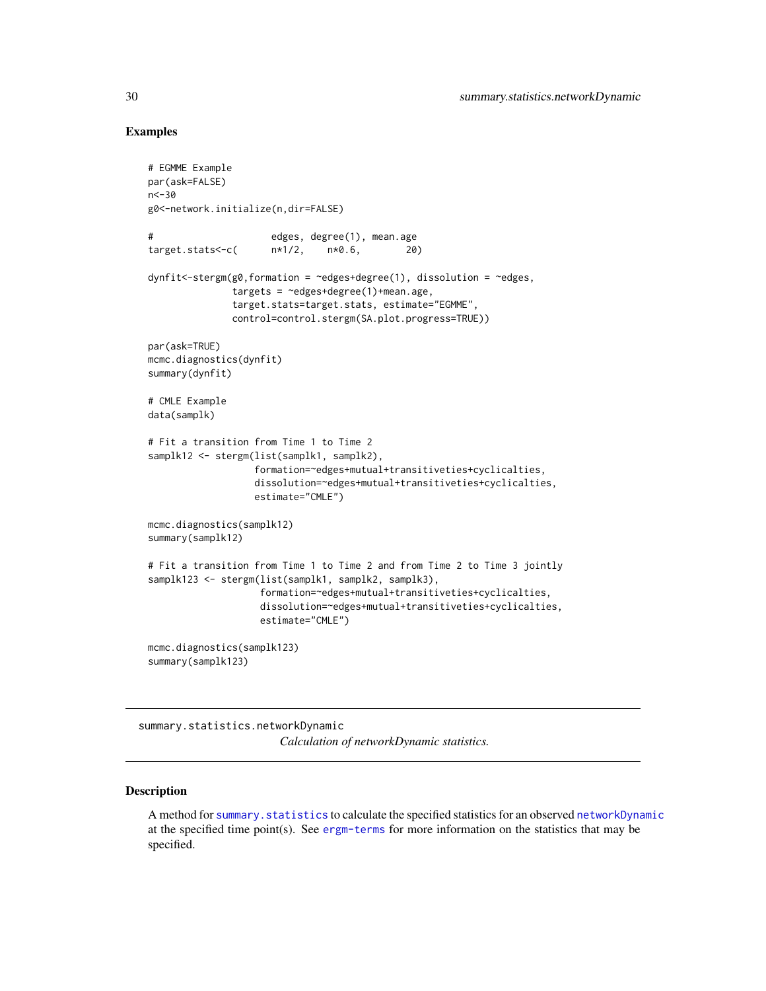# Examples

```
# EGMME Example
par(ask=FALSE)
n < -30g0<-network.initialize(n,dir=FALSE)
# edges, degree(1), mean.age
target.stats<-c( n*1/2, n*0.6, 20)
dynfit<-stergm(g0,formation = ~edges+degree(1), dissolution = ~edges,
               targets = \simedges+degree(1)+mean.age,
               target.stats=target.stats, estimate="EGMME",
              control=control.stergm(SA.plot.progress=TRUE))
par(ask=TRUE)
mcmc.diagnostics(dynfit)
summary(dynfit)
# CMLE Example
data(samplk)
# Fit a transition from Time 1 to Time 2
samplk12 <- stergm(list(samplk1, samplk2),
                  formation=~edges+mutual+transitiveties+cyclicalties,
                  dissolution=~edges+mutual+transitiveties+cyclicalties,
                  estimate="CMLE")
mcmc.diagnostics(samplk12)
summary(samplk12)
# Fit a transition from Time 1 to Time 2 and from Time 2 to Time 3 jointly
samplk123 <- stergm(list(samplk1, samplk2, samplk3),
                    formation=~edges+mutual+transitiveties+cyclicalties,
                    dissolution=~edges+mutual+transitiveties+cyclicalties,
                    estimate="CMLE")
mcmc.diagnostics(samplk123)
summary(samplk123)
```
summary.statistics.networkDynamic

*Calculation of networkDynamic statistics.*

# <span id="page-29-1"></span>Description

A method for summary. statistics to calculate the specified statistics for an observed [networkDynamic](#page-0-0) at the specified time point(s). See [ergm-terms](#page-13-1) for more information on the statistics that may be specified.

<span id="page-29-0"></span>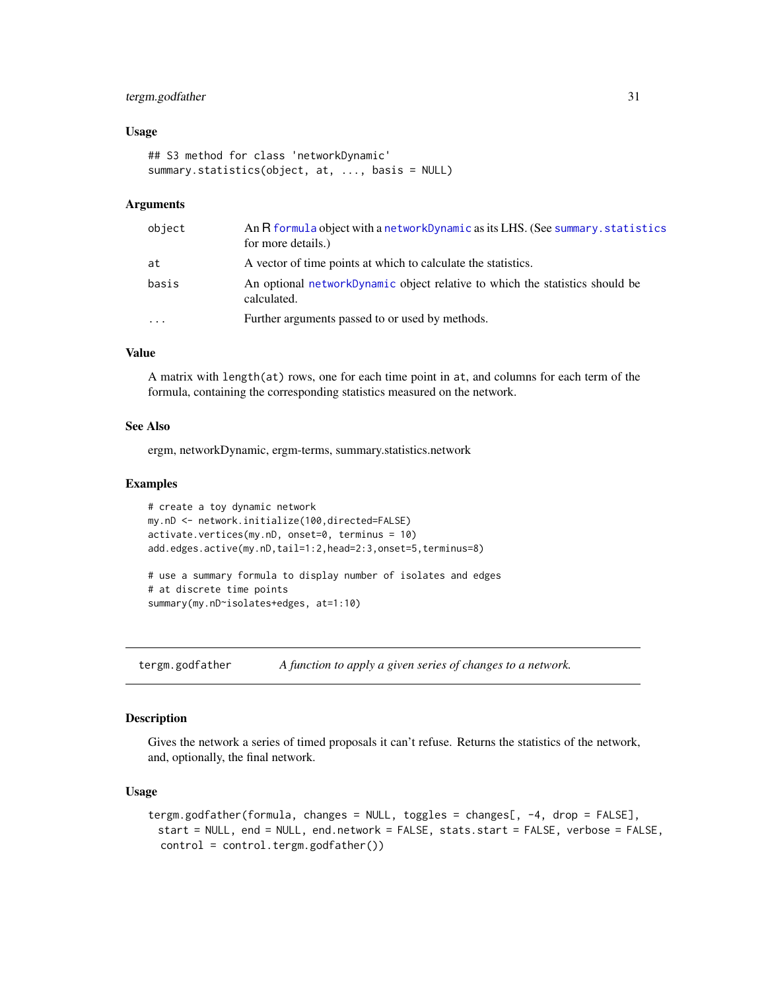# <span id="page-30-0"></span>tergm.godfather 31

# Usage

```
## S3 method for class 'networkDynamic'
summary.statistics(object, at, ..., basis = NULL)
```
# Arguments

| object    | An R formula object with a networkDynamic as its LHS. (See summary statistics<br>for more details.) |
|-----------|-----------------------------------------------------------------------------------------------------|
| at        | A vector of time points at which to calculate the statistics.                                       |
| basis     | An optional networkDynamic object relative to which the statistics should be<br>calculated.         |
| $\ddotsc$ | Further arguments passed to or used by methods.                                                     |

#### Value

A matrix with length(at) rows, one for each time point in at, and columns for each term of the formula, containing the corresponding statistics measured on the network.

#### See Also

ergm, networkDynamic, ergm-terms, summary.statistics.network

# Examples

```
# create a toy dynamic network
my.nD <- network.initialize(100,directed=FALSE)
activate.vertices(my.nD, onset=0, terminus = 10)
add.edges.active(my.nD,tail=1:2,head=2:3,onset=5,terminus=8)
# use a summary formula to display number of isolates and edges
# at discrete time points
summary(my.nD~isolates+edges, at=1:10)
```
tergm.godfather *A function to apply a given series of changes to a network.*

# <span id="page-30-1"></span>Description

Gives the network a series of timed proposals it can't refuse. Returns the statistics of the network, and, optionally, the final network.

# Usage

```
tergm.godfather(formula, changes = NULL, toggles = changes[, -4, drop = FALSE],
 start = NULL, end = NULL, end.network = FALSE, stats.start = FALSE, verbose = FALSE,
  control = control.tergm.godfather())
```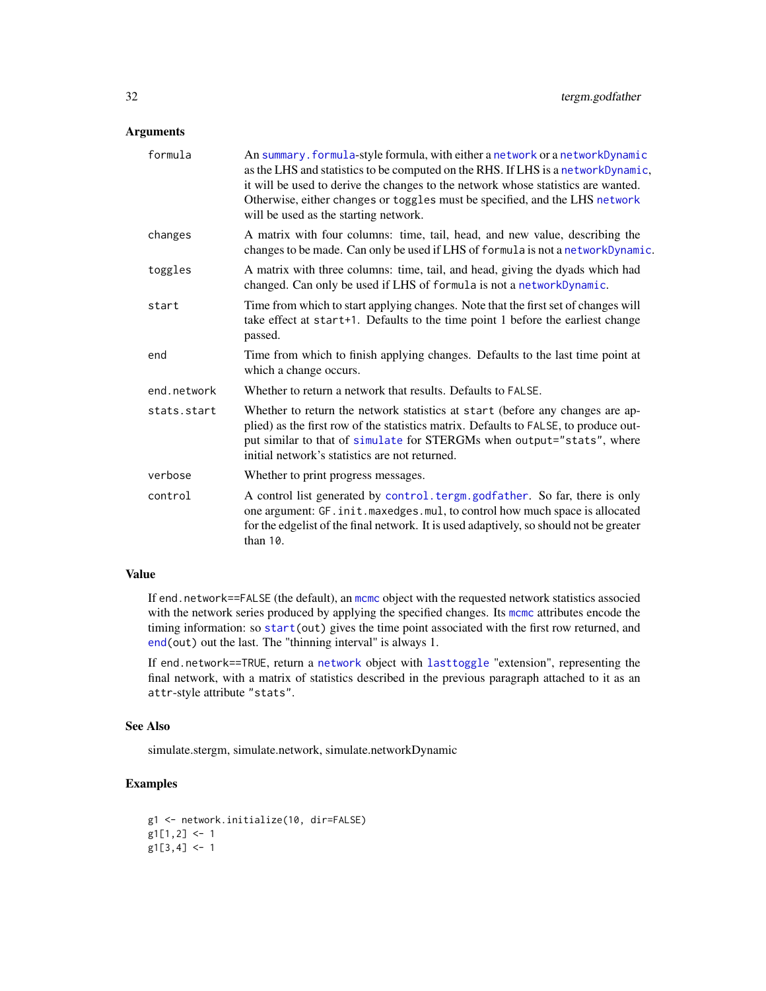# <span id="page-31-0"></span>Arguments

| formula     | An summary. formula-style formula, with either a network or a networkDynamic<br>as the LHS and statistics to be computed on the RHS. If LHS is a networkDynamic,<br>it will be used to derive the changes to the network whose statistics are wanted.<br>Otherwise, either changes or toggles must be specified, and the LHS network<br>will be used as the starting network. |
|-------------|-------------------------------------------------------------------------------------------------------------------------------------------------------------------------------------------------------------------------------------------------------------------------------------------------------------------------------------------------------------------------------|
| changes     | A matrix with four columns: time, tail, head, and new value, describing the<br>changes to be made. Can only be used if LHS of formula is not a networkDynamic.                                                                                                                                                                                                                |
| toggles     | A matrix with three columns: time, tail, and head, giving the dyads which had<br>changed. Can only be used if LHS of formula is not a networkDynamic.                                                                                                                                                                                                                         |
| start       | Time from which to start applying changes. Note that the first set of changes will<br>take effect at start+1. Defaults to the time point 1 before the earliest change<br>passed.                                                                                                                                                                                              |
| end         | Time from which to finish applying changes. Defaults to the last time point at<br>which a change occurs.                                                                                                                                                                                                                                                                      |
| end.network | Whether to return a network that results. Defaults to FALSE.                                                                                                                                                                                                                                                                                                                  |
| stats.start | Whether to return the network statistics at start (before any changes are ap-<br>plied) as the first row of the statistics matrix. Defaults to FALSE, to produce out-<br>put similar to that of simulate for STERGMs when output="stats", where<br>initial network's statistics are not returned.                                                                             |
| verbose     | Whether to print progress messages.                                                                                                                                                                                                                                                                                                                                           |
| control     | A control list generated by control. tergm. godfather. So far, there is only<br>one argument: GF. init. maxedges. mul, to control how much space is allocated<br>for the edgelist of the final network. It is used adaptively, so should not be greater<br>than 10.                                                                                                           |
|             |                                                                                                                                                                                                                                                                                                                                                                               |

# Value

If end.network==FALSE (the default), an [mcmc](#page-0-0) object with the requested network statistics associed with the network series produced by applying the specified changes. Its [mcmc](#page-0-0) attributes encode the timing information: so [start\(](#page-0-0)out) gives the time point associated with the first row returned, and [end\(](#page-0-0)out) out the last. The "thinning interval" is always 1.

If end.network==TRUE, return a [network](#page-0-0) object with [lasttoggle](#page-0-0) "extension", representing the final network, with a matrix of statistics described in the previous paragraph attached to it as an attr-style attribute "stats".

# See Also

simulate.stergm, simulate.network, simulate.networkDynamic

# Examples

```
g1 <- network.initialize(10, dir=FALSE)
g1[1,2] < -1g1[3,4] <- 1
```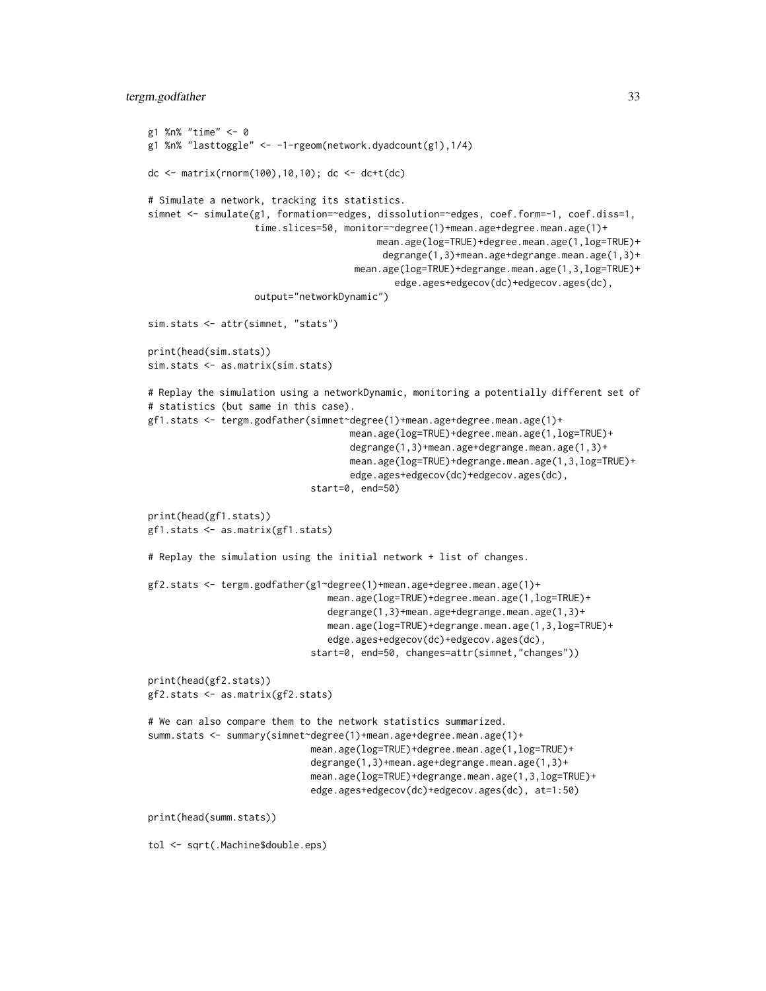# tergm.godfather 33

```
g1 %n% "time" <- 0
g1 %n% "lasttoggle" <- -1-rgeom(network.dyadcount(g1),1/4)
dc <- matrix(rnorm(100),10,10); dc <- dc+t(dc)
# Simulate a network, tracking its statistics.
simnet <- simulate(g1, formation=~edges, dissolution=~edges, coef.form=-1, coef.diss=1,
                   time.slices=50, monitor=~degree(1)+mean.age+degree.mean.age(1)+
                                         mean.age(log=TRUE)+degree.mean.age(1,log=TRUE)+
                                          degrange(1,3)+mean.age+degrange.mean.age(1,3)+
                                     mean.age(log=TRUE)+degrange.mean.age(1,3,log=TRUE)+
                                            edge.ages+edgecov(dc)+edgecov.ages(dc),
                   output="networkDynamic")
sim.stats <- attr(simnet, "stats")
print(head(sim.stats))
sim.stats <- as.matrix(sim.stats)
# Replay the simulation using a networkDynamic, monitoring a potentially different set of
# statistics (but same in this case).
gf1.stats <- tergm.godfather(simnet~degree(1)+mean.age+degree.mean.age(1)+
                                    mean.age(log=TRUE)+degree.mean.age(1,log=TRUE)+
                                    degrange(1,3)+mean.age+degrange.mean.age(1,3)+
                                    mean.age(log=TRUE)+degrange.mean.age(1,3,log=TRUE)+
                                    edge.ages+edgecov(dc)+edgecov.ages(dc),
                             start=0, end=50)
print(head(gf1.stats))
gf1.stats <- as.matrix(gf1.stats)
# Replay the simulation using the initial network + list of changes.
gf2.stats <- tergm.godfather(g1~degree(1)+mean.age+degree.mean.age(1)+
                                mean.age(log=TRUE)+degree.mean.age(1,log=TRUE)+
                                degrange(1,3)+mean.age+degrange.mean.age(1,3)+
                                mean.age(log=TRUE)+degrange.mean.age(1,3,log=TRUE)+
                                edge.ages+edgecov(dc)+edgecov.ages(dc),
                             start=0, end=50, changes=attr(simnet,"changes"))
print(head(gf2.stats))
gf2.stats <- as.matrix(gf2.stats)
# We can also compare them to the network statistics summarized.
summ.stats <- summary(simnet~degree(1)+mean.age+degree.mean.age(1)+
                             mean.age(log=TRUE)+degree.mean.age(1,log=TRUE)+
                             degrange(1,3)+mean.age+degrange.mean.age(1,3)+
                             mean.age(log=TRUE)+degrange.mean.age(1,3,log=TRUE)+
                             edge.ages+edgecov(dc)+edgecov.ages(dc), at=1:50)
print(head(summ.stats))
tol <- sqrt(.Machine$double.eps)
```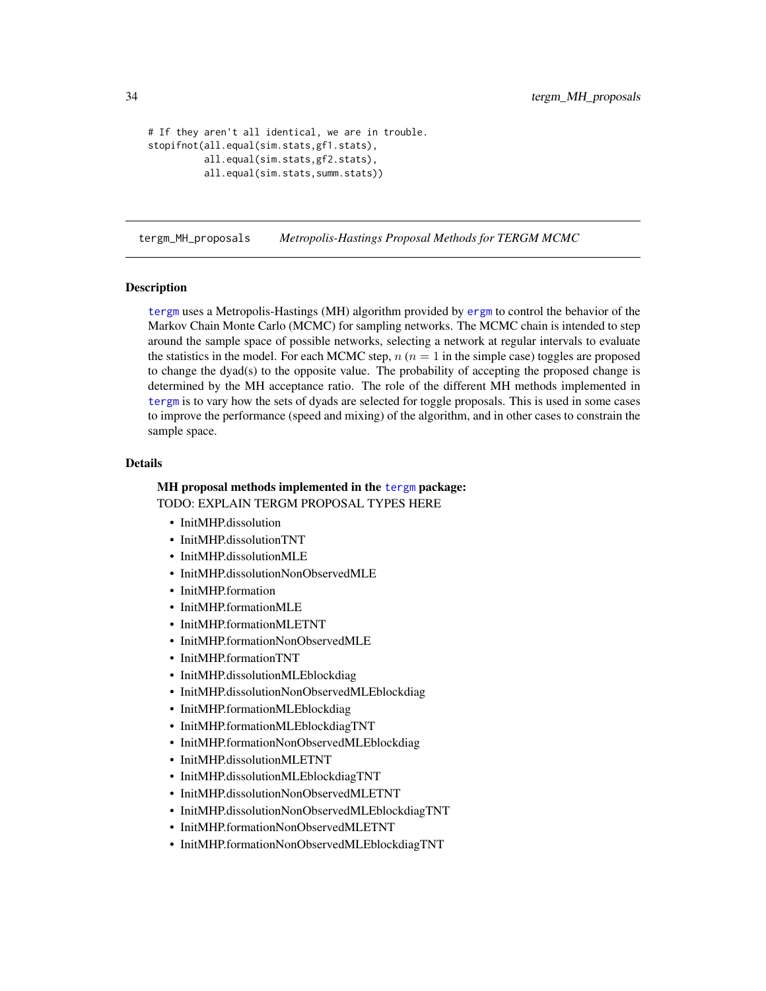```
# If they aren't all identical, we are in trouble.
stopifnot(all.equal(sim.stats,gf1.stats),
          all.equal(sim.stats,gf2.stats),
          all.equal(sim.stats,summ.stats))
```
tergm\_MH\_proposals *Metropolis-Hastings Proposal Methods for TERGM MCMC*

# **Description**

[tergm](#page-1-2) uses a Metropolis-Hastings (MH) algorithm provided by [ergm](#page-0-0) to control the behavior of the Markov Chain Monte Carlo (MCMC) for sampling networks. The MCMC chain is intended to step around the sample space of possible networks, selecting a network at regular intervals to evaluate the statistics in the model. For each MCMC step,  $n (n = 1)$  in the simple case) toggles are proposed to change the dyad(s) to the opposite value. The probability of accepting the proposed change is determined by the MH acceptance ratio. The role of the different MH methods implemented in [tergm](#page-1-2) is to vary how the sets of dyads are selected for toggle proposals. This is used in some cases to improve the performance (speed and mixing) of the algorithm, and in other cases to constrain the sample space.

# Details

# MH proposal methods implemented in the [tergm](#page-1-1) package:

TODO: EXPLAIN TERGM PROPOSAL TYPES HERE

- InitMHP.dissolution
- InitMHP.dissolutionTNT
- InitMHP.dissolutionMLE
- InitMHP.dissolutionNonObservedMLE
- InitMHP.formation
- InitMHP.formationMLE
- InitMHP.formationMLETNT
- InitMHP.formationNonObservedMLE
- InitMHP.formationTNT
- InitMHP.dissolutionMLEblockdiag
- InitMHP.dissolutionNonObservedMLEblockdiag
- InitMHP.formationMLEblockdiag
- InitMHP.formationMLEblockdiagTNT
- InitMHP.formationNonObservedMLEblockdiag
- InitMHP.dissolutionMLETNT
- InitMHP.dissolutionMLEblockdiagTNT
- InitMHP.dissolutionNonObservedMLETNT
- InitMHP.dissolutionNonObservedMLEblockdiagTNT
- InitMHP.formationNonObservedMLETNT
- InitMHP.formationNonObservedMLEblockdiagTNT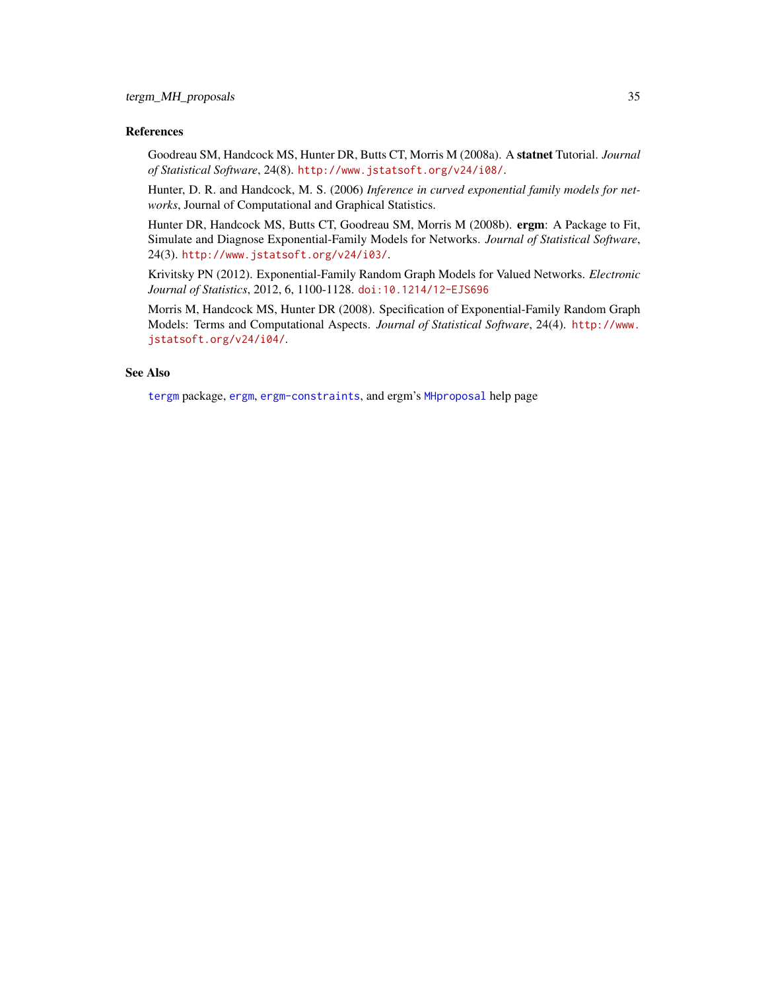# <span id="page-34-0"></span>References

Goodreau SM, Handcock MS, Hunter DR, Butts CT, Morris M (2008a). A statnet Tutorial. *Journal of Statistical Software*, 24(8). <http://www.jstatsoft.org/v24/i08/>.

Hunter, D. R. and Handcock, M. S. (2006) *Inference in curved exponential family models for networks*, Journal of Computational and Graphical Statistics.

Hunter DR, Handcock MS, Butts CT, Goodreau SM, Morris M (2008b). ergm: A Package to Fit, Simulate and Diagnose Exponential-Family Models for Networks. *Journal of Statistical Software*, 24(3). <http://www.jstatsoft.org/v24/i03/>.

Krivitsky PN (2012). Exponential-Family Random Graph Models for Valued Networks. *Electronic Journal of Statistics*, 2012, 6, 1100-1128. [doi:10.1214/12-EJS696](http://dx.doi.org/10.1214/12-EJS696)

Morris M, Handcock MS, Hunter DR (2008). Specification of Exponential-Family Random Graph Models: Terms and Computational Aspects. *Journal of Statistical Software*, 24(4). [http://www.](http://www.jstatsoft.org/v24/i04/) [jstatsoft.org/v24/i04/](http://www.jstatsoft.org/v24/i04/).

# See Also

[tergm](#page-1-1) package, [ergm](#page-0-0), [ergm-constraints](#page-12-1), and ergm's [MHproposal](#page-0-0) help page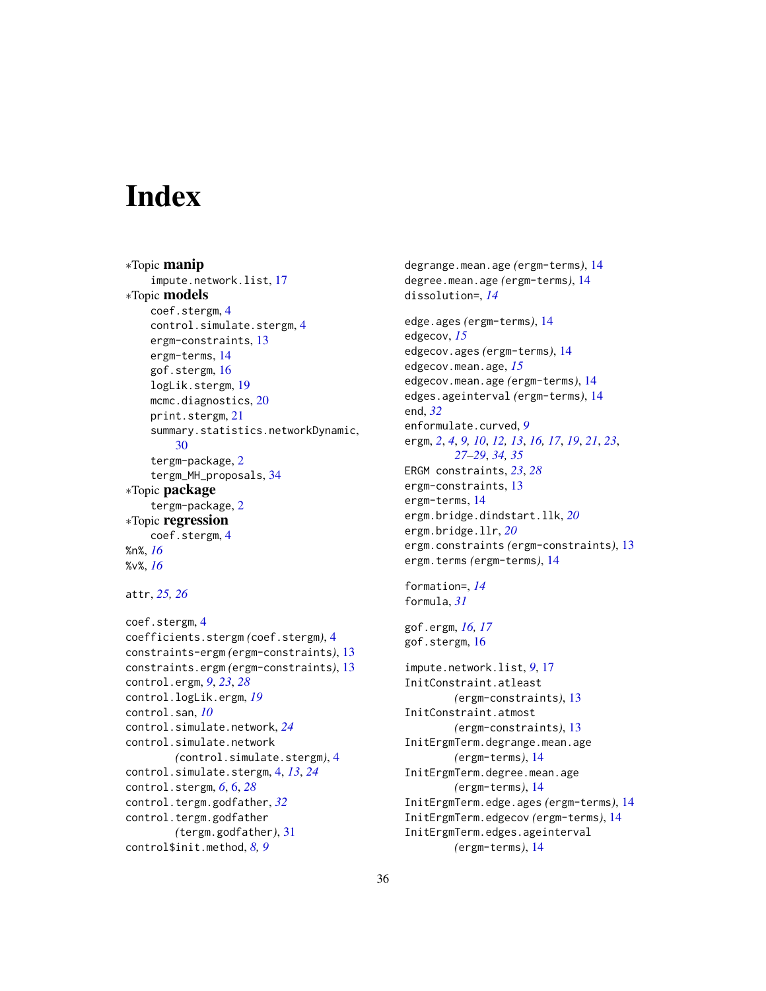# <span id="page-35-0"></span>**Index**

∗Topic manip impute.network.list, [17](#page-16-0) ∗Topic models coef.stergm, [4](#page-3-0) control.simulate.stergm, [4](#page-3-0) ergm-constraints, [13](#page-12-0) ergm-terms, [14](#page-13-0) gof.stergm, [16](#page-15-0) logLik.stergm, [19](#page-18-0) mcmc.diagnostics, [20](#page-19-0) print.stergm, [21](#page-20-0) summary.statistics.networkDynamic, [30](#page-29-0) tergm-package, [2](#page-1-0) tergm\_MH\_proposals, [34](#page-33-0) ∗Topic package tergm-package, [2](#page-1-0) ∗Topic regression coef.stergm, [4](#page-3-0) %n%, *[16](#page-15-0)* %v%, *[16](#page-15-0)* attr, *[25,](#page-24-0) [26](#page-25-0)* coef.stergm, [4](#page-3-0) coefficients.stergm *(*coef.stergm*)*, [4](#page-3-0)

```
constraints-ergm (ergm-constraints), 13
constraints.ergm (ergm-constraints), 13
control.ergm, 9, 23, 28
control.logLik.ergm, 19
control.san, 10
control.simulate.network, 24
control.simulate.network
        (control.simulate.stergm), 4
control.simulate.stergm, 4, 13, 24
control.stergm, 6, 6, 28
control.tergm.godfather, 32
control.tergm.godfather
        (tergm.godfather), 31
control$init.method, 8, 9
```
degrange.mean.age *(*ergm-terms*)*, [14](#page-13-0) degree.mean.age *(*ergm-terms*)*, [14](#page-13-0) dissolution=, *[14](#page-13-0)* edge.ages *(*ergm-terms*)*, [14](#page-13-0) edgecov, *[15](#page-14-0)* edgecov.ages *(*ergm-terms*)*, [14](#page-13-0) edgecov.mean.age, *[15](#page-14-0)* edgecov.mean.age *(*ergm-terms*)*, [14](#page-13-0) edges.ageinterval *(*ergm-terms*)*, [14](#page-13-0) end, *[32](#page-31-0)* enformulate.curved, *[9](#page-8-0)* ergm, *[2](#page-1-0)*, *[4](#page-3-0)*, *[9,](#page-8-0) [10](#page-9-0)*, *[12,](#page-11-0) [13](#page-12-0)*, *[16,](#page-15-0) [17](#page-16-0)*, *[19](#page-18-0)*, *[21](#page-20-0)*, *[23](#page-22-0)*, *[27](#page-26-0)[–29](#page-28-0)*, *[34,](#page-33-0) [35](#page-34-0)* ERGM constraints, *[23](#page-22-0)*, *[28](#page-27-0)* ergm-constraints, [13](#page-12-0) ergm-terms, [14](#page-13-0) ergm.bridge.dindstart.llk, *[20](#page-19-0)* ergm.bridge.llr, *[20](#page-19-0)* ergm.constraints *(*ergm-constraints*)*, [13](#page-12-0) ergm.terms *(*ergm-terms*)*, [14](#page-13-0)

```
formation=, 14
formula, 31
```

```
gof.ergm, 16, 17
gof.stergm, 16
```
impute.network.list, *[9](#page-8-0)*, [17](#page-16-0) InitConstraint.atleast *(*ergm-constraints*)*, [13](#page-12-0) InitConstraint.atmost *(*ergm-constraints*)*, [13](#page-12-0) InitErgmTerm.degrange.mean.age *(*ergm-terms*)*, [14](#page-13-0) InitErgmTerm.degree.mean.age *(*ergm-terms*)*, [14](#page-13-0) InitErgmTerm.edge.ages *(*ergm-terms*)*, [14](#page-13-0) InitErgmTerm.edgecov *(*ergm-terms*)*, [14](#page-13-0) InitErgmTerm.edges.ageinterval *(*ergm-terms*)*, [14](#page-13-0)